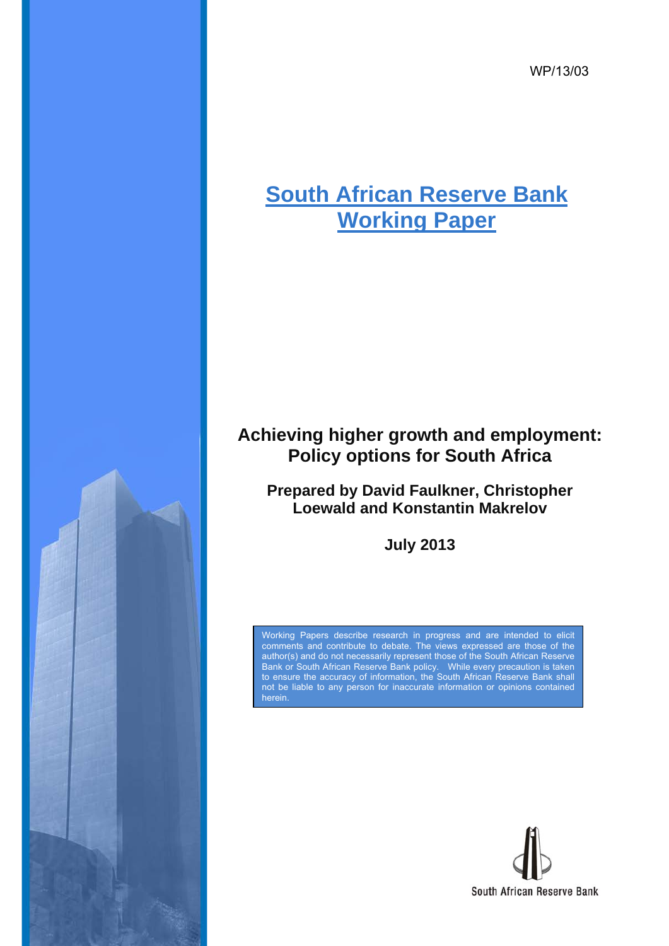WP/13/03

# **South African Reserve Bank Working Paper**

## **Achieving higher growth and employment: Policy options for South Africa**

**Prepared by David Faulkner, Christopher Loewald and Konstantin Makrelov** 

**July 2013** 

Working Papers describe research in progress and are intended to elicit comments and contribute to debate. The views expressed are those of the author(s) and do not necessarily represent those of the South African Reserve Bank or South African Reserve Bank policy. While every precaution is taken to ensure the accuracy of information, the South African Reserve Bank shall not be liable to any person for inaccurate information or opinions contained herein.

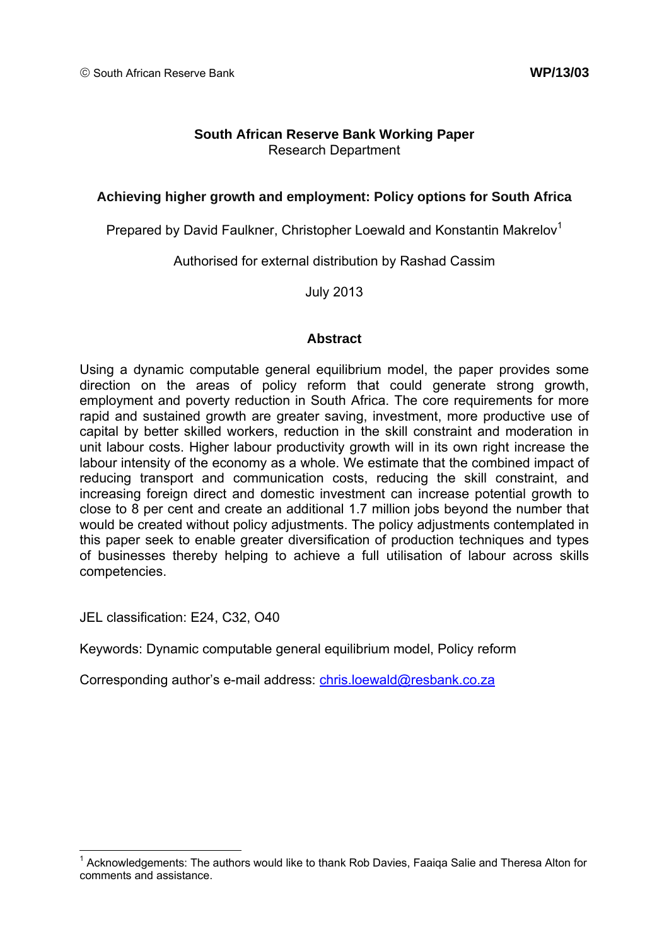## **South African Reserve Bank Working Paper**  Research Department

## **Achieving higher growth and employment: Policy options for South Africa**

Prepared by David Faulkner, Christopher Loewald and Konstantin Makrelov<sup>1</sup>

Authorised for external distribution by Rashad Cassim

July 2013

## **Abstract**

Using a dynamic computable general equilibrium model, the paper provides some direction on the areas of policy reform that could generate strong growth, employment and poverty reduction in South Africa. The core requirements for more rapid and sustained growth are greater saving, investment, more productive use of capital by better skilled workers, reduction in the skill constraint and moderation in unit labour costs. Higher labour productivity growth will in its own right increase the labour intensity of the economy as a whole. We estimate that the combined impact of reducing transport and communication costs, reducing the skill constraint, and increasing foreign direct and domestic investment can increase potential growth to close to 8 per cent and create an additional 1.7 million jobs beyond the number that would be created without policy adjustments. The policy adjustments contemplated in this paper seek to enable greater diversification of production techniques and types of businesses thereby helping to achieve a full utilisation of labour across skills competencies.

JEL classification: E24, C32, O40

Keywords: Dynamic computable general equilibrium model, Policy reform

Corresponding author's e-mail address: chris.loewald@resbank.co.za

 1 Acknowledgements: The authors would like to thank Rob Davies, Faaiqa Salie and Theresa Alton for comments and assistance.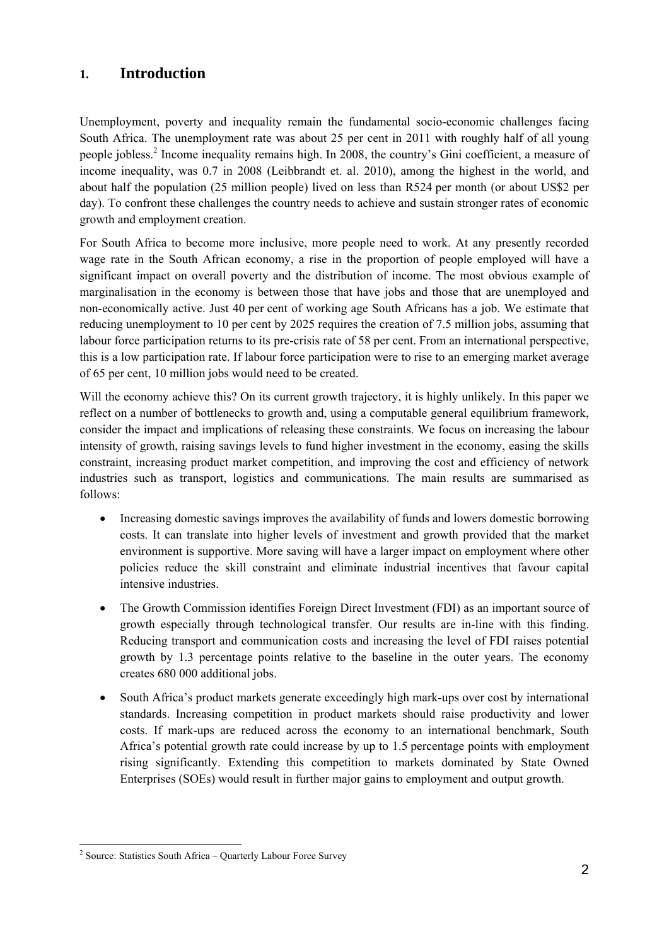## **1. Introduction**

Unemployment, poverty and inequality remain the fundamental socio-economic challenges facing South Africa. The unemployment rate was about 25 per cent in 2011 with roughly half of all young people jobless.<sup>2</sup> Income inequality remains high. In 2008, the country's Gini coefficient, a measure of income inequality, was 0.7 in 2008 (Leibbrandt et. al. 2010), among the highest in the world, and about half the population (25 million people) lived on less than R524 per month (or about US\$2 per day). To confront these challenges the country needs to achieve and sustain stronger rates of economic growth and employment creation.

For South Africa to become more inclusive, more people need to work. At any presently recorded wage rate in the South African economy, a rise in the proportion of people employed will have a significant impact on overall poverty and the distribution of income. The most obvious example of marginalisation in the economy is between those that have jobs and those that are unemployed and non-economically active. Just 40 per cent of working age South Africans has a job. We estimate that reducing unemployment to 10 per cent by 2025 requires the creation of 7.5 million jobs, assuming that labour force participation returns to its pre-crisis rate of 58 per cent. From an international perspective, this is a low participation rate. If labour force participation were to rise to an emerging market average of 65 per cent, 10 million jobs would need to be created.

Will the economy achieve this? On its current growth trajectory, it is highly unlikely. In this paper we reflect on a number of bottlenecks to growth and, using a computable general equilibrium framework, consider the impact and implications of releasing these constraints. We focus on increasing the labour intensity of growth, raising savings levels to fund higher investment in the economy, easing the skills constraint, increasing product market competition, and improving the cost and efficiency of network industries such as transport, logistics and communications. The main results are summarised as follows:

- Increasing domestic savings improves the availability of funds and lowers domestic borrowing costs. It can translate into higher levels of investment and growth provided that the market environment is supportive. More saving will have a larger impact on employment where other policies reduce the skill constraint and eliminate industrial incentives that favour capital intensive industries.
- The Growth Commission identifies Foreign Direct Investment (FDI) as an important source of growth especially through technological transfer. Our results are in-line with this finding. Reducing transport and communication costs and increasing the level of FDI raises potential growth by 1.3 percentage points relative to the baseline in the outer years. The economy creates 680 000 additional jobs.
- South Africa's product markets generate exceedingly high mark-ups over cost by international standards. Increasing competition in product markets should raise productivity and lower costs. If mark-ups are reduced across the economy to an international benchmark, South Africa's potential growth rate could increase by up to 1.5 percentage points with employment rising significantly. Extending this competition to markets dominated by State Owned Enterprises (SOEs) would result in further major gains to employment and output growth.

 2 Source: Statistics South Africa – Quarterly Labour Force Survey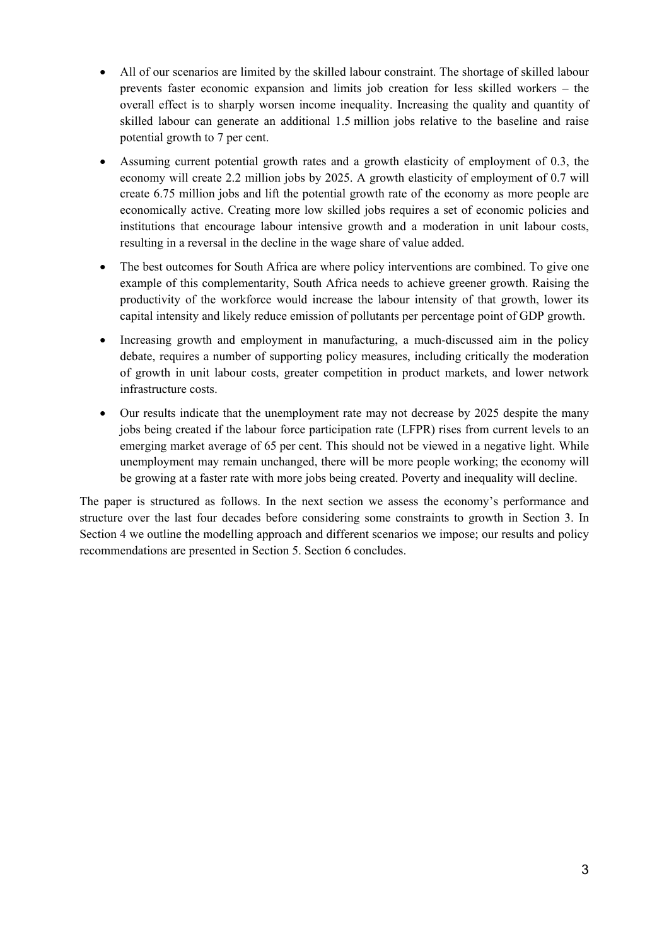- All of our scenarios are limited by the skilled labour constraint. The shortage of skilled labour prevents faster economic expansion and limits job creation for less skilled workers – the overall effect is to sharply worsen income inequality. Increasing the quality and quantity of skilled labour can generate an additional 1.5 million jobs relative to the baseline and raise potential growth to 7 per cent.
- Assuming current potential growth rates and a growth elasticity of employment of 0.3, the economy will create 2.2 million jobs by 2025. A growth elasticity of employment of 0.7 will create 6.75 million jobs and lift the potential growth rate of the economy as more people are economically active. Creating more low skilled jobs requires a set of economic policies and institutions that encourage labour intensive growth and a moderation in unit labour costs, resulting in a reversal in the decline in the wage share of value added.
- The best outcomes for South Africa are where policy interventions are combined. To give one example of this complementarity, South Africa needs to achieve greener growth. Raising the productivity of the workforce would increase the labour intensity of that growth, lower its capital intensity and likely reduce emission of pollutants per percentage point of GDP growth.
- Increasing growth and employment in manufacturing, a much-discussed aim in the policy debate, requires a number of supporting policy measures, including critically the moderation of growth in unit labour costs, greater competition in product markets, and lower network infrastructure costs.
- Our results indicate that the unemployment rate may not decrease by 2025 despite the many jobs being created if the labour force participation rate (LFPR) rises from current levels to an emerging market average of 65 per cent. This should not be viewed in a negative light. While unemployment may remain unchanged, there will be more people working; the economy will be growing at a faster rate with more jobs being created. Poverty and inequality will decline.

The paper is structured as follows. In the next section we assess the economy's performance and structure over the last four decades before considering some constraints to growth in Section 3. In Section 4 we outline the modelling approach and different scenarios we impose; our results and policy recommendations are presented in Section 5. Section 6 concludes.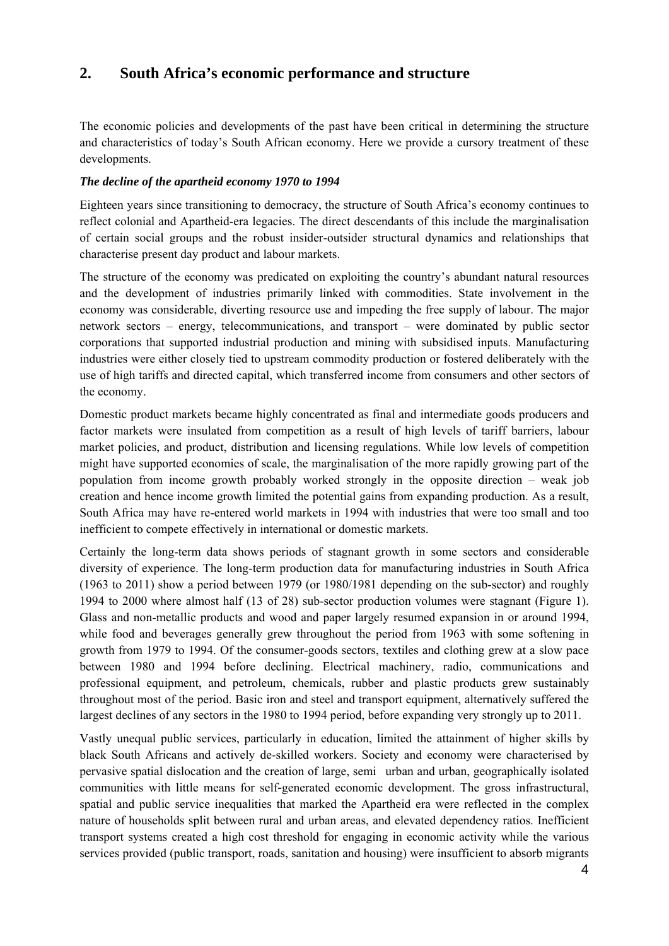## **2. South Africa's economic performance and structure**

The economic policies and developments of the past have been critical in determining the structure and characteristics of today's South African economy. Here we provide a cursory treatment of these developments.

### *The decline of the apartheid economy 1970 to 1994*

Eighteen years since transitioning to democracy, the structure of South Africa's economy continues to reflect colonial and Apartheid-era legacies. The direct descendants of this include the marginalisation of certain social groups and the robust insider-outsider structural dynamics and relationships that characterise present day product and labour markets.

The structure of the economy was predicated on exploiting the country's abundant natural resources and the development of industries primarily linked with commodities. State involvement in the economy was considerable, diverting resource use and impeding the free supply of labour. The major network sectors – energy, telecommunications, and transport – were dominated by public sector corporations that supported industrial production and mining with subsidised inputs. Manufacturing industries were either closely tied to upstream commodity production or fostered deliberately with the use of high tariffs and directed capital, which transferred income from consumers and other sectors of the economy.

Domestic product markets became highly concentrated as final and intermediate goods producers and factor markets were insulated from competition as a result of high levels of tariff barriers, labour market policies, and product, distribution and licensing regulations. While low levels of competition might have supported economies of scale, the marginalisation of the more rapidly growing part of the population from income growth probably worked strongly in the opposite direction – weak job creation and hence income growth limited the potential gains from expanding production. As a result, South Africa may have re-entered world markets in 1994 with industries that were too small and too inefficient to compete effectively in international or domestic markets.

Certainly the long-term data shows periods of stagnant growth in some sectors and considerable diversity of experience. The long-term production data for manufacturing industries in South Africa (1963 to 2011) show a period between 1979 (or 1980/1981 depending on the sub-sector) and roughly 1994 to 2000 where almost half (13 of 28) sub-sector production volumes were stagnant (Figure 1). Glass and non-metallic products and wood and paper largely resumed expansion in or around 1994, while food and beverages generally grew throughout the period from 1963 with some softening in growth from 1979 to 1994. Of the consumer-goods sectors, textiles and clothing grew at a slow pace between 1980 and 1994 before declining. Electrical machinery, radio, communications and professional equipment, and petroleum, chemicals, rubber and plastic products grew sustainably throughout most of the period. Basic iron and steel and transport equipment, alternatively suffered the largest declines of any sectors in the 1980 to 1994 period, before expanding very strongly up to 2011.

Vastly unequal public services, particularly in education, limited the attainment of higher skills by black South Africans and actively de-skilled workers. Society and economy were characterised by pervasive spatial dislocation and the creation of large, semi urban and urban, geographically isolated communities with little means for self-generated economic development. The gross infrastructural, spatial and public service inequalities that marked the Apartheid era were reflected in the complex nature of households split between rural and urban areas, and elevated dependency ratios. Inefficient transport systems created a high cost threshold for engaging in economic activity while the various services provided (public transport, roads, sanitation and housing) were insufficient to absorb migrants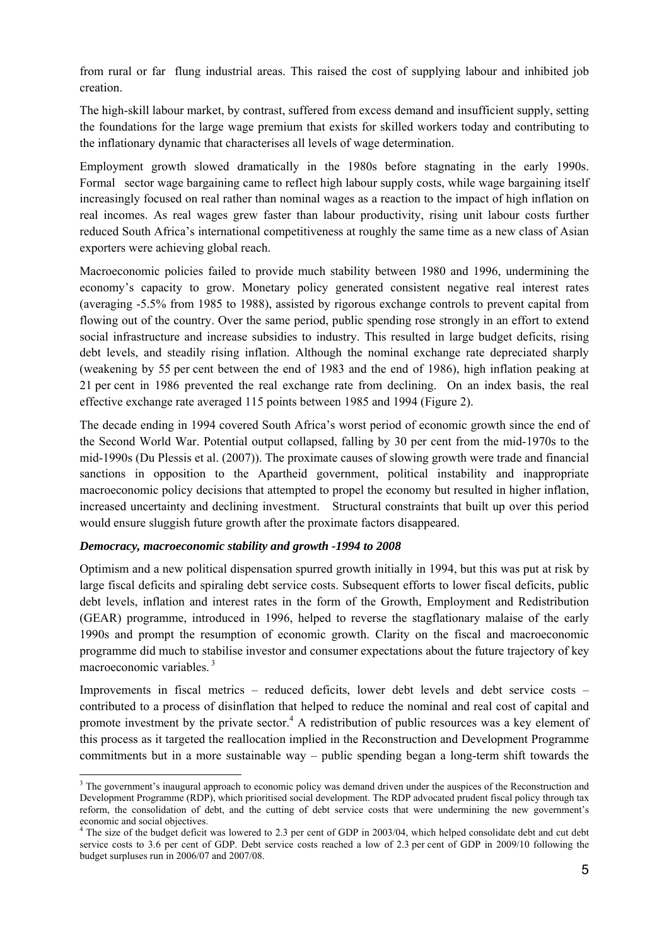from rural or far flung industrial areas. This raised the cost of supplying labour and inhibited job creation.

The high-skill labour market, by contrast, suffered from excess demand and insufficient supply, setting the foundations for the large wage premium that exists for skilled workers today and contributing to the inflationary dynamic that characterises all levels of wage determination.

Employment growth slowed dramatically in the 1980s before stagnating in the early 1990s. Formal sector wage bargaining came to reflect high labour supply costs, while wage bargaining itself increasingly focused on real rather than nominal wages as a reaction to the impact of high inflation on real incomes. As real wages grew faster than labour productivity, rising unit labour costs further reduced South Africa's international competitiveness at roughly the same time as a new class of Asian exporters were achieving global reach.

Macroeconomic policies failed to provide much stability between 1980 and 1996, undermining the economy's capacity to grow. Monetary policy generated consistent negative real interest rates (averaging -5.5% from 1985 to 1988), assisted by rigorous exchange controls to prevent capital from flowing out of the country. Over the same period, public spending rose strongly in an effort to extend social infrastructure and increase subsidies to industry. This resulted in large budget deficits, rising debt levels, and steadily rising inflation. Although the nominal exchange rate depreciated sharply (weakening by 55 per cent between the end of 1983 and the end of 1986), high inflation peaking at 21 per cent in 1986 prevented the real exchange rate from declining. On an index basis, the real effective exchange rate averaged 115 points between 1985 and 1994 (Figure 2).

The decade ending in 1994 covered South Africa's worst period of economic growth since the end of the Second World War. Potential output collapsed, falling by 30 per cent from the mid-1970s to the mid-1990s (Du Plessis et al. (2007)). The proximate causes of slowing growth were trade and financial sanctions in opposition to the Apartheid government, political instability and inappropriate macroeconomic policy decisions that attempted to propel the economy but resulted in higher inflation, increased uncertainty and declining investment. Structural constraints that built up over this period would ensure sluggish future growth after the proximate factors disappeared.

#### *Democracy, macroeconomic stability and growth -1994 to 2008*

-

Optimism and a new political dispensation spurred growth initially in 1994, but this was put at risk by large fiscal deficits and spiraling debt service costs. Subsequent efforts to lower fiscal deficits, public debt levels, inflation and interest rates in the form of the Growth, Employment and Redistribution (GEAR) programme, introduced in 1996, helped to reverse the stagflationary malaise of the early 1990s and prompt the resumption of economic growth. Clarity on the fiscal and macroeconomic programme did much to stabilise investor and consumer expectations about the future trajectory of key macroeconomic variables. 3

Improvements in fiscal metrics – reduced deficits, lower debt levels and debt service costs – contributed to a process of disinflation that helped to reduce the nominal and real cost of capital and promote investment by the private sector.<sup>4</sup> A redistribution of public resources was a key element of this process as it targeted the reallocation implied in the Reconstruction and Development Programme commitments but in a more sustainable way – public spending began a long-term shift towards the

<sup>&</sup>lt;sup>3</sup> The government's inaugural approach to economic policy was demand driven under the auspices of the Reconstruction and Development Programme (RDP), which prioritised social development. The RDP advocated prudent fiscal policy through tax reform, the consolidation of debt, and the cutting of debt service costs that were undermining the new government's economic and social objectives.<br><sup>4</sup> The size of the budget deficit was lowered to 2.3 per cent of GDP in 2003/04, which helped consolidate debt and cut debt

service costs to 3.6 per cent of GDP. Debt service costs reached a low of 2.3 per cent of GDP in 2009/10 following the budget surpluses run in 2006/07 and 2007/08.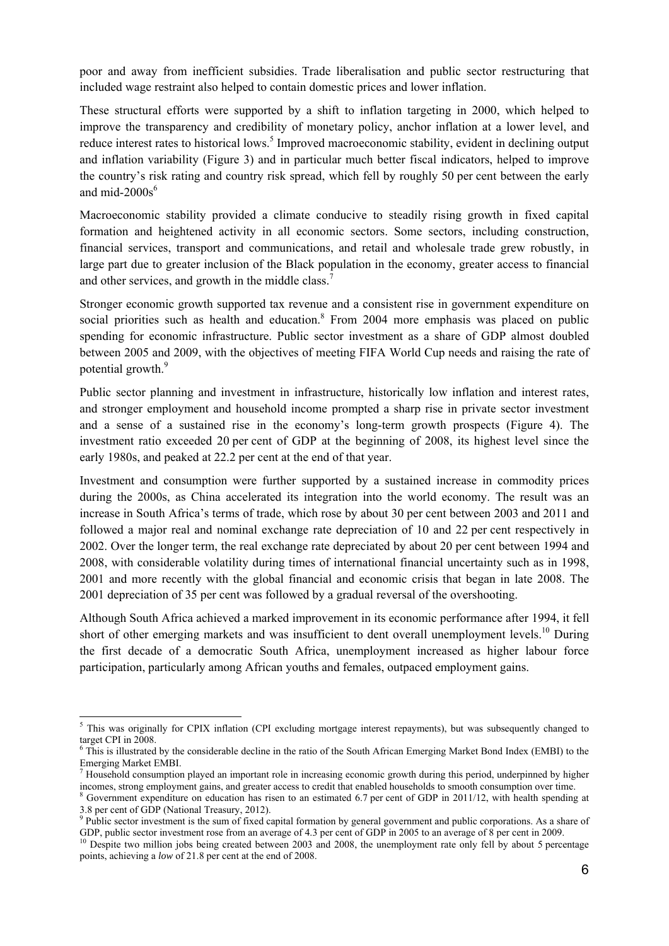poor and away from inefficient subsidies. Trade liberalisation and public sector restructuring that included wage restraint also helped to contain domestic prices and lower inflation.

These structural efforts were supported by a shift to inflation targeting in 2000, which helped to improve the transparency and credibility of monetary policy, anchor inflation at a lower level, and reduce interest rates to historical lows.<sup>5</sup> Improved macroeconomic stability, evident in declining output and inflation variability (Figure 3) and in particular much better fiscal indicators, helped to improve the country's risk rating and country risk spread, which fell by roughly 50 per cent between the early and mid- $2000s^6$ 

Macroeconomic stability provided a climate conducive to steadily rising growth in fixed capital formation and heightened activity in all economic sectors. Some sectors, including construction, financial services, transport and communications, and retail and wholesale trade grew robustly, in large part due to greater inclusion of the Black population in the economy, greater access to financial and other services, and growth in the middle class.<sup>7</sup>

Stronger economic growth supported tax revenue and a consistent rise in government expenditure on social priorities such as health and education. $8$  From 2004 more emphasis was placed on public spending for economic infrastructure. Public sector investment as a share of GDP almost doubled between 2005 and 2009, with the objectives of meeting FIFA World Cup needs and raising the rate of potential growth.<sup>9</sup>

Public sector planning and investment in infrastructure, historically low inflation and interest rates, and stronger employment and household income prompted a sharp rise in private sector investment and a sense of a sustained rise in the economy's long-term growth prospects (Figure 4). The investment ratio exceeded 20 per cent of GDP at the beginning of 2008, its highest level since the early 1980s, and peaked at 22.2 per cent at the end of that year.

Investment and consumption were further supported by a sustained increase in commodity prices during the 2000s, as China accelerated its integration into the world economy. The result was an increase in South Africa's terms of trade, which rose by about 30 per cent between 2003 and 2011 and followed a major real and nominal exchange rate depreciation of 10 and 22 per cent respectively in 2002. Over the longer term, the real exchange rate depreciated by about 20 per cent between 1994 and 2008, with considerable volatility during times of international financial uncertainty such as in 1998, 2001 and more recently with the global financial and economic crisis that began in late 2008. The 2001 depreciation of 35 per cent was followed by a gradual reversal of the overshooting.

Although South Africa achieved a marked improvement in its economic performance after 1994, it fell short of other emerging markets and was insufficient to dent overall unemployment levels.<sup>10</sup> During the first decade of a democratic South Africa, unemployment increased as higher labour force participation, particularly among African youths and females, outpaced employment gains.

<sup>&</sup>lt;sup>5</sup>This was originally for CPIX inflation (CPI excluding mortgage interest repayments), but was subsequently changed to target CPI in 2008.

<sup>&</sup>lt;sup>6</sup> This is illustrated by the considerable decline in the ratio of the South African Emerging Market Bond Index (EMBI) to the Emerging Market EMBI.<br><sup>7</sup> Household consumption played an important role in increasing economic growth during this period, underpinned by higher

incomes, strong employment gains, and greater access to credit that enabled households to smooth consumption over time. 8

Government expenditure on education has risen to an estimated 6.7 per cent of GDP in 2011/12, with health spending at 3.8 per cent of GDP (National Treasury, 2012).

<sup>&</sup>lt;sup>9</sup> Public sector investment is the sum of fixed capital formation by general government and public corporations. As a share of GDP, public sector investment rose from an average of 4.3 per cent of GDP in 2005 to an average of 8 per cent in 2009.<br><sup>10</sup> Despite two million jobs being created between 2003 and 2008, the unemployment rate only fell by

points, achieving a *low* of 21.8 per cent at the end of 2008.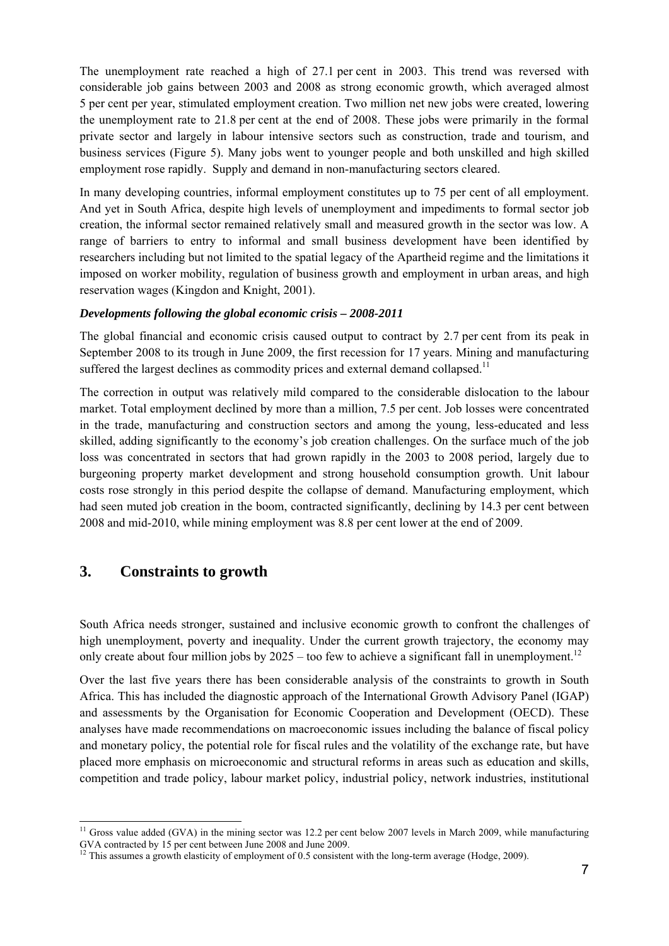The unemployment rate reached a high of 27.1 per cent in 2003. This trend was reversed with considerable job gains between 2003 and 2008 as strong economic growth, which averaged almost 5 per cent per year, stimulated employment creation. Two million net new jobs were created, lowering the unemployment rate to 21.8 per cent at the end of 2008. These jobs were primarily in the formal private sector and largely in labour intensive sectors such as construction, trade and tourism, and business services (Figure 5). Many jobs went to younger people and both unskilled and high skilled employment rose rapidly. Supply and demand in non-manufacturing sectors cleared.

In many developing countries, informal employment constitutes up to 75 per cent of all employment. And yet in South Africa, despite high levels of unemployment and impediments to formal sector job creation, the informal sector remained relatively small and measured growth in the sector was low. A range of barriers to entry to informal and small business development have been identified by researchers including but not limited to the spatial legacy of the Apartheid regime and the limitations it imposed on worker mobility, regulation of business growth and employment in urban areas, and high reservation wages (Kingdon and Knight, 2001).

#### *Developments following the global economic crisis – 2008-2011*

The global financial and economic crisis caused output to contract by 2.7 per cent from its peak in September 2008 to its trough in June 2009, the first recession for 17 years. Mining and manufacturing suffered the largest declines as commodity prices and external demand collapsed.<sup>11</sup>

The correction in output was relatively mild compared to the considerable dislocation to the labour market. Total employment declined by more than a million, 7.5 per cent. Job losses were concentrated in the trade, manufacturing and construction sectors and among the young, less-educated and less skilled, adding significantly to the economy's job creation challenges. On the surface much of the job loss was concentrated in sectors that had grown rapidly in the 2003 to 2008 period, largely due to burgeoning property market development and strong household consumption growth. Unit labour costs rose strongly in this period despite the collapse of demand. Manufacturing employment, which had seen muted job creation in the boom, contracted significantly, declining by 14.3 per cent between 2008 and mid-2010, while mining employment was 8.8 per cent lower at the end of 2009.

## **3. Constraints to growth**

-

South Africa needs stronger, sustained and inclusive economic growth to confront the challenges of high unemployment, poverty and inequality. Under the current growth trajectory, the economy may only create about four million jobs by  $2025 -$  too few to achieve a significant fall in unemployment.<sup>12</sup>

Over the last five years there has been considerable analysis of the constraints to growth in South Africa. This has included the diagnostic approach of the International Growth Advisory Panel (IGAP) and assessments by the Organisation for Economic Cooperation and Development (OECD). These analyses have made recommendations on macroeconomic issues including the balance of fiscal policy and monetary policy, the potential role for fiscal rules and the volatility of the exchange rate, but have placed more emphasis on microeconomic and structural reforms in areas such as education and skills, competition and trade policy, labour market policy, industrial policy, network industries, institutional

 $11$  Gross value added (GVA) in the mining sector was 12.2 per cent below 2007 levels in March 2009, while manufacturing GVA contracted by 15 per cent between June 2008 and June 2009.

<sup>&</sup>lt;sup>12</sup> This assumes a growth elasticity of employment of 0.5 consistent with the long-term average (Hodge, 2009).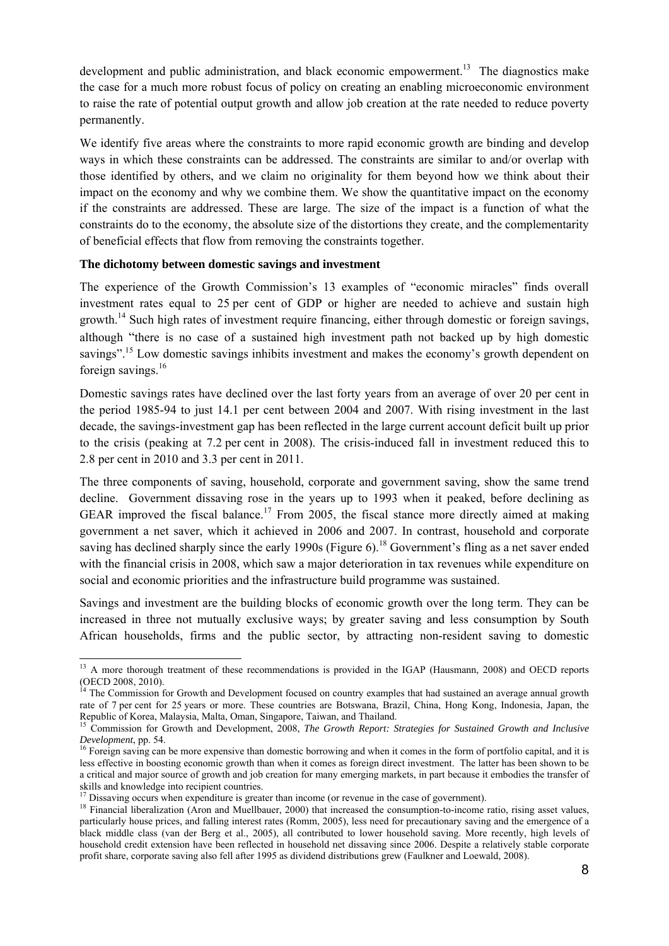development and public administration, and black economic empowerment.<sup>13</sup> The diagnostics make the case for a much more robust focus of policy on creating an enabling microeconomic environment to raise the rate of potential output growth and allow job creation at the rate needed to reduce poverty permanently.

We identify five areas where the constraints to more rapid economic growth are binding and develop ways in which these constraints can be addressed. The constraints are similar to and/or overlap with those identified by others, and we claim no originality for them beyond how we think about their impact on the economy and why we combine them. We show the quantitative impact on the economy if the constraints are addressed. These are large. The size of the impact is a function of what the constraints do to the economy, the absolute size of the distortions they create, and the complementarity of beneficial effects that flow from removing the constraints together.

#### **The dichotomy between domestic savings and investment**

-

The experience of the Growth Commission's 13 examples of "economic miracles" finds overall investment rates equal to 25 per cent of GDP or higher are needed to achieve and sustain high growth.14 Such high rates of investment require financing, either through domestic or foreign savings, although "there is no case of a sustained high investment path not backed up by high domestic savings".<sup>15</sup> Low domestic savings inhibits investment and makes the economy's growth dependent on foreign savings.<sup>16</sup>

Domestic savings rates have declined over the last forty years from an average of over 20 per cent in the period 1985-94 to just 14.1 per cent between 2004 and 2007. With rising investment in the last decade, the savings-investment gap has been reflected in the large current account deficit built up prior to the crisis (peaking at 7.2 per cent in 2008). The crisis-induced fall in investment reduced this to 2.8 per cent in 2010 and 3.3 per cent in 2011.

The three components of saving, household, corporate and government saving, show the same trend decline. Government dissaving rose in the years up to 1993 when it peaked, before declining as GEAR improved the fiscal balance.<sup>17</sup> From 2005, the fiscal stance more directly aimed at making government a net saver, which it achieved in 2006 and 2007. In contrast, household and corporate saving has declined sharply since the early 1990s (Figure 6).<sup>18</sup> Government's fling as a net saver ended with the financial crisis in 2008, which saw a major deterioration in tax revenues while expenditure on social and economic priorities and the infrastructure build programme was sustained.

Savings and investment are the building blocks of economic growth over the long term. They can be increased in three not mutually exclusive ways; by greater saving and less consumption by South African households, firms and the public sector, by attracting non-resident saving to domestic

<sup>&</sup>lt;sup>13</sup> A more thorough treatment of these recommendations is provided in the IGAP (Hausmann, 2008) and OECD reports (OECD 2008, 2010).

<sup>&</sup>lt;sup>14</sup> The Commission for Growth and Development focused on country examples that had sustained an average annual growth rate of 7 per cent for 25 years or more. These countries are Botswana, Brazil, China, Hong Kong, Indonesia, Japan, the Republic of Korea, Malaysia, Malta, Oman, Singapore, Taiwan, and Thailand.<br><sup>15</sup> Commission for Growth and Development, 2008, *The Growth Report: Strategies for Sustained Growth and Inclusive* 

*Development*, pp. 54. 16 Foreign saving can be more expensive than domestic borrowing and when it comes in the form of portfolio capital, and it is

less effective in boosting economic growth than when it comes as foreign direct investment. The latter has been shown to be a critical and major source of growth and job creation for many emerging markets, in part because it embodies the transfer of skills and knowledge into recipient countries.<br><sup>17</sup> Dissaving occurs when expenditure is greater than income (or revenue in the case of government).

 $18$  Financial liberalization (Aron and Muellbauer, 2000) that increased the consumption-to-income ratio, rising asset values, particularly house prices, and falling interest rates (Romm, 2005), less need for precautionary saving and the emergence of a black middle class (van der Berg et al., 2005), all contributed to lower household saving. More recently, high levels of household credit extension have been reflected in household net dissaving since 2006. Despite a relatively stable corporate profit share, corporate saving also fell after 1995 as dividend distributions grew (Faulkner and Loewald, 2008).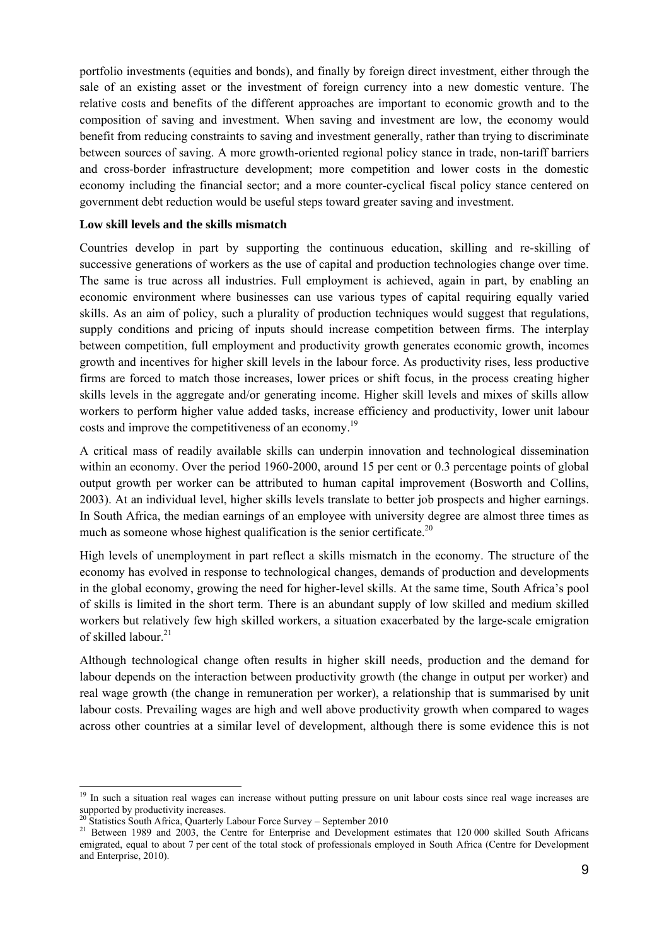portfolio investments (equities and bonds), and finally by foreign direct investment, either through the sale of an existing asset or the investment of foreign currency into a new domestic venture. The relative costs and benefits of the different approaches are important to economic growth and to the composition of saving and investment. When saving and investment are low, the economy would benefit from reducing constraints to saving and investment generally, rather than trying to discriminate between sources of saving. A more growth-oriented regional policy stance in trade, non-tariff barriers and cross-border infrastructure development; more competition and lower costs in the domestic economy including the financial sector; and a more counter-cyclical fiscal policy stance centered on government debt reduction would be useful steps toward greater saving and investment.

#### **Low skill levels and the skills mismatch**

Countries develop in part by supporting the continuous education, skilling and re-skilling of successive generations of workers as the use of capital and production technologies change over time. The same is true across all industries. Full employment is achieved, again in part, by enabling an economic environment where businesses can use various types of capital requiring equally varied skills. As an aim of policy, such a plurality of production techniques would suggest that regulations, supply conditions and pricing of inputs should increase competition between firms. The interplay between competition, full employment and productivity growth generates economic growth, incomes growth and incentives for higher skill levels in the labour force. As productivity rises, less productive firms are forced to match those increases, lower prices or shift focus, in the process creating higher skills levels in the aggregate and/or generating income. Higher skill levels and mixes of skills allow workers to perform higher value added tasks, increase efficiency and productivity, lower unit labour costs and improve the competitiveness of an economy.<sup>19</sup>

A critical mass of readily available skills can underpin innovation and technological dissemination within an economy. Over the period 1960-2000, around 15 per cent or 0.3 percentage points of global output growth per worker can be attributed to human capital improvement (Bosworth and Collins, 2003). At an individual level, higher skills levels translate to better job prospects and higher earnings. In South Africa, the median earnings of an employee with university degree are almost three times as much as someone whose highest qualification is the senior certificate.<sup>20</sup>

High levels of unemployment in part reflect a skills mismatch in the economy. The structure of the economy has evolved in response to technological changes, demands of production and developments in the global economy, growing the need for higher-level skills. At the same time, South Africa's pool of skills is limited in the short term. There is an abundant supply of low skilled and medium skilled workers but relatively few high skilled workers, a situation exacerbated by the large-scale emigration of skilled labour<sup>21</sup>

Although technological change often results in higher skill needs, production and the demand for labour depends on the interaction between productivity growth (the change in output per worker) and real wage growth (the change in remuneration per worker), a relationship that is summarised by unit labour costs. Prevailing wages are high and well above productivity growth when compared to wages across other countries at a similar level of development, although there is some evidence this is not

 $\overline{a}$ <sup>19</sup> In such a situation real wages can increase without putting pressure on unit labour costs since real wage increases are supported by productivity increases.<br><sup>20</sup> Statistics South Africa, Quarterly Labour Force Survey – September 2010

<sup>&</sup>lt;sup>21</sup> Between 1989 and 2003, the Centre for Enterprise and Development estimates that 120 000 skilled South Africans emigrated, equal to about 7 per cent of the total stock of professionals employed in South Africa (Centre for Development and Enterprise, 2010).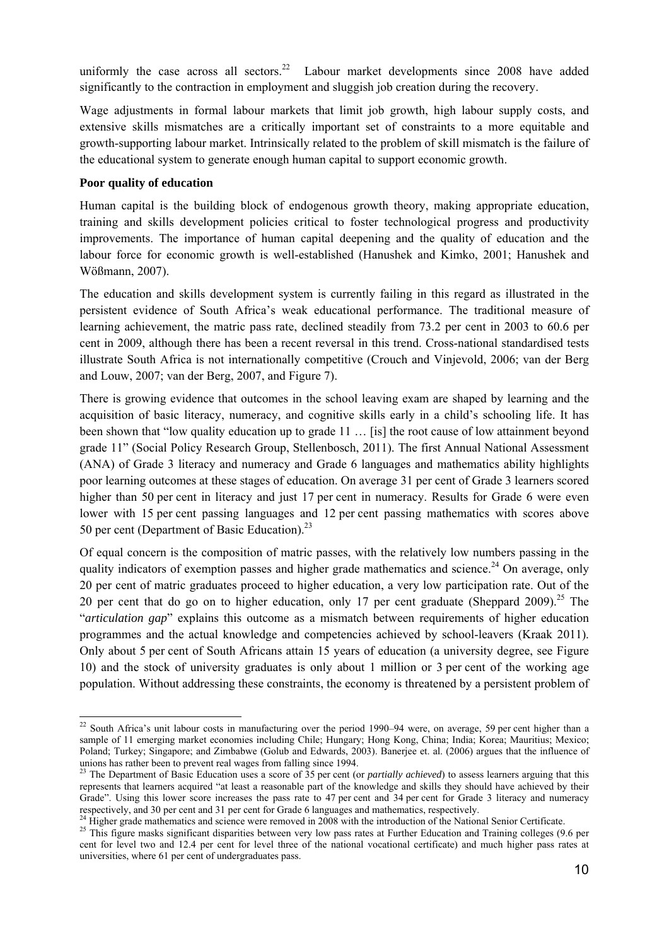uniformly the case across all sectors.<sup>22</sup> Labour market developments since  $2008$  have added significantly to the contraction in employment and sluggish job creation during the recovery.

Wage adjustments in formal labour markets that limit job growth, high labour supply costs, and extensive skills mismatches are a critically important set of constraints to a more equitable and growth-supporting labour market. Intrinsically related to the problem of skill mismatch is the failure of the educational system to generate enough human capital to support economic growth.

#### **Poor quality of education**

-

Human capital is the building block of endogenous growth theory, making appropriate education, training and skills development policies critical to foster technological progress and productivity improvements. The importance of human capital deepening and the quality of education and the labour force for economic growth is well-established (Hanushek and Kimko, 2001; Hanushek and Wößmann, 2007).

The education and skills development system is currently failing in this regard as illustrated in the persistent evidence of South Africa's weak educational performance. The traditional measure of learning achievement, the matric pass rate, declined steadily from 73.2 per cent in 2003 to 60.6 per cent in 2009, although there has been a recent reversal in this trend. Cross-national standardised tests illustrate South Africa is not internationally competitive (Crouch and Vinjevold, 2006; van der Berg and Louw, 2007; van der Berg, 2007, and Figure 7).

There is growing evidence that outcomes in the school leaving exam are shaped by learning and the acquisition of basic literacy, numeracy, and cognitive skills early in a child's schooling life. It has been shown that "low quality education up to grade 11 … [is] the root cause of low attainment beyond grade 11" (Social Policy Research Group, Stellenbosch, 2011). The first Annual National Assessment (ANA) of Grade 3 literacy and numeracy and Grade 6 languages and mathematics ability highlights poor learning outcomes at these stages of education. On average 31 per cent of Grade 3 learners scored higher than 50 per cent in literacy and just 17 per cent in numeracy. Results for Grade 6 were even lower with 15 per cent passing languages and 12 per cent passing mathematics with scores above 50 per cent (Department of Basic Education).<sup>23</sup>

Of equal concern is the composition of matric passes, with the relatively low numbers passing in the quality indicators of exemption passes and higher grade mathematics and science.<sup>24</sup> On average, only 20 per cent of matric graduates proceed to higher education, a very low participation rate. Out of the 20 per cent that do go on to higher education, only 17 per cent graduate (Sheppard 2009).<sup>25</sup> The "*articulation gap*" explains this outcome as a mismatch between requirements of higher education programmes and the actual knowledge and competencies achieved by school-leavers (Kraak 2011). Only about 5 per cent of South Africans attain 15 years of education (a university degree, see Figure 10) and the stock of university graduates is only about 1 million or 3 per cent of the working age population. Without addressing these constraints, the economy is threatened by a persistent problem of

<sup>&</sup>lt;sup>22</sup> South Africa's unit labour costs in manufacturing over the period 1990–94 were, on average, 59 per cent higher than a sample of 11 emerging market economies including Chile; Hungary; Hong Kong, China; India; Korea; Mauritius; Mexico; Poland; Turkey; Singapore; and Zimbabwe (Golub and Edwards, 2003). Banerjee et. al. (2006) argues that the influence of unions has rather been to prevent real wages from falling since 1994.<br><sup>23</sup> The Department of Basic Education uses a score of 35 per cent (or *partially achieved*) to assess learners arguing that this

represents that learners acquired "at least a reasonable part of the knowledge and skills they should have achieved by their Grade". Using this lower score increases the pass rate to 47 per cent and 34 per cent for Grade 3 literacy and numeracy respectively, and 30 per cent and 31 per cent for Grade 6 languages and mathematics, respectively.<br><sup>24</sup> Higher grade mathematics and science were removed in 2008 with the introduction of the National Senior Certificate.

<sup>&</sup>lt;sup>25</sup> This figure masks significant disparities between very low pass rates at Further Education and Training colleges (9.6 per cent for level two and 12.4 per cent for level three of the national vocational certificate) and much higher pass rates at universities, where 61 per cent of undergraduates pass.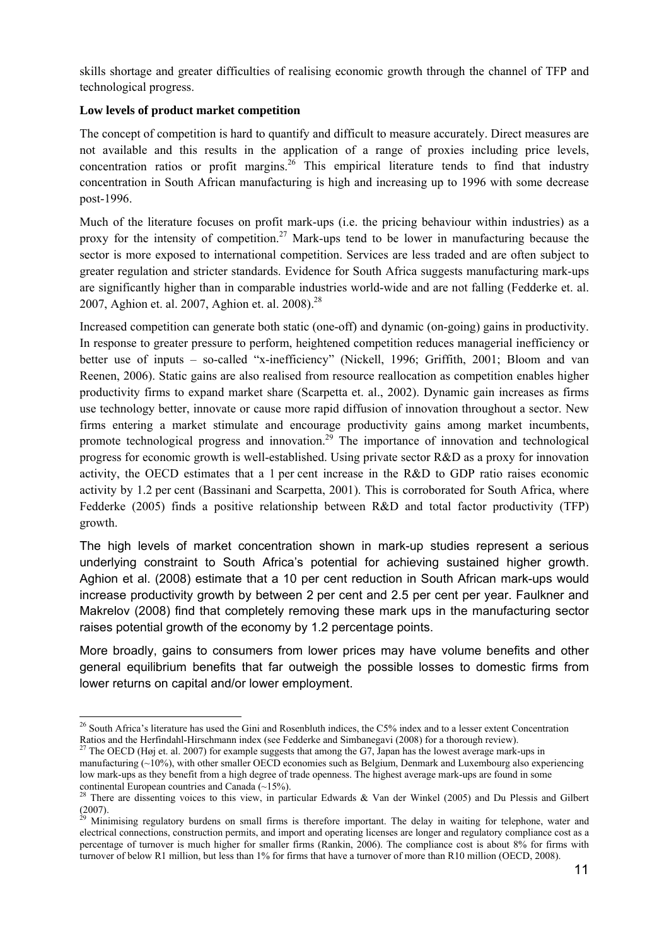skills shortage and greater difficulties of realising economic growth through the channel of TFP and technological progress.

## **Low levels of product market competition**

-

The concept of competition is hard to quantify and difficult to measure accurately. Direct measures are not available and this results in the application of a range of proxies including price levels, concentration ratios or profit margins.<sup>26</sup> This empirical literature tends to find that industry concentration in South African manufacturing is high and increasing up to 1996 with some decrease post-1996.

Much of the literature focuses on profit mark-ups (i.e. the pricing behaviour within industries) as a proxy for the intensity of competition.<sup>27</sup> Mark-ups tend to be lower in manufacturing because the sector is more exposed to international competition. Services are less traded and are often subject to greater regulation and stricter standards. Evidence for South Africa suggests manufacturing mark-ups are significantly higher than in comparable industries world-wide and are not falling (Fedderke et. al. 2007, Aghion et. al. 2007, Aghion et. al. 2008).<sup>28</sup>

Increased competition can generate both static (one-off) and dynamic (on-going) gains in productivity. In response to greater pressure to perform, heightened competition reduces managerial inefficiency or better use of inputs – so-called "x-inefficiency" (Nickell, 1996; Griffith, 2001; Bloom and van Reenen, 2006). Static gains are also realised from resource reallocation as competition enables higher productivity firms to expand market share (Scarpetta et. al., 2002). Dynamic gain increases as firms use technology better, innovate or cause more rapid diffusion of innovation throughout a sector. New firms entering a market stimulate and encourage productivity gains among market incumbents, promote technological progress and innovation.<sup>29</sup> The importance of innovation and technological progress for economic growth is well-established. Using private sector R&D as a proxy for innovation activity, the OECD estimates that a 1 per cent increase in the R&D to GDP ratio raises economic activity by 1.2 per cent (Bassinani and Scarpetta, 2001). This is corroborated for South Africa, where Fedderke (2005) finds a positive relationship between R&D and total factor productivity (TFP) growth.

The high levels of market concentration shown in mark-up studies represent a serious underlying constraint to South Africa's potential for achieving sustained higher growth. Aghion et al. (2008) estimate that a 10 per cent reduction in South African mark-ups would increase productivity growth by between 2 per cent and 2.5 per cent per year. Faulkner and Makrelov (2008) find that completely removing these mark ups in the manufacturing sector raises potential growth of the economy by 1.2 percentage points.

More broadly, gains to consumers from lower prices may have volume benefits and other general equilibrium benefits that far outweigh the possible losses to domestic firms from lower returns on capital and/or lower employment.

 $^{26}$  South Africa's literature has used the Gini and Rosenbluth indices, the C5% index and to a lesser extent Concentration Ratios and the Herfindahl-Hirschmann index (see Fedderke and Simbanegavi (2008) for a thorough review). <sup>27</sup> The OECD (Høj et. al. 2007) for example suggests that among the G7, Japan has the lowest average mark-ups in

manufacturing (~10%), with other smaller OECD economies such as Belgium, Denmark and Luxembourg also experiencing low mark-ups as they benefit from a high degree of trade openness. The highest average mark-ups are found in some continental European countries and Canada  $(-15%)$ .

<sup>&</sup>lt;sup>28</sup> There are dissenting voices to this view, in particular Edwards & Van der Winkel (2005) and Du Plessis and Gilbert (2007).

 $29$  Minimising regulatory burdens on small firms is therefore important. The delay in waiting for telephone, water and electrical connections, construction permits, and import and operating licenses are longer and regulatory compliance cost as a percentage of turnover is much higher for smaller firms (Rankin, 2006). The compliance cost is about 8% for firms with turnover of below R1 million, but less than 1% for firms that have a turnover of more than R10 million (OECD, 2008).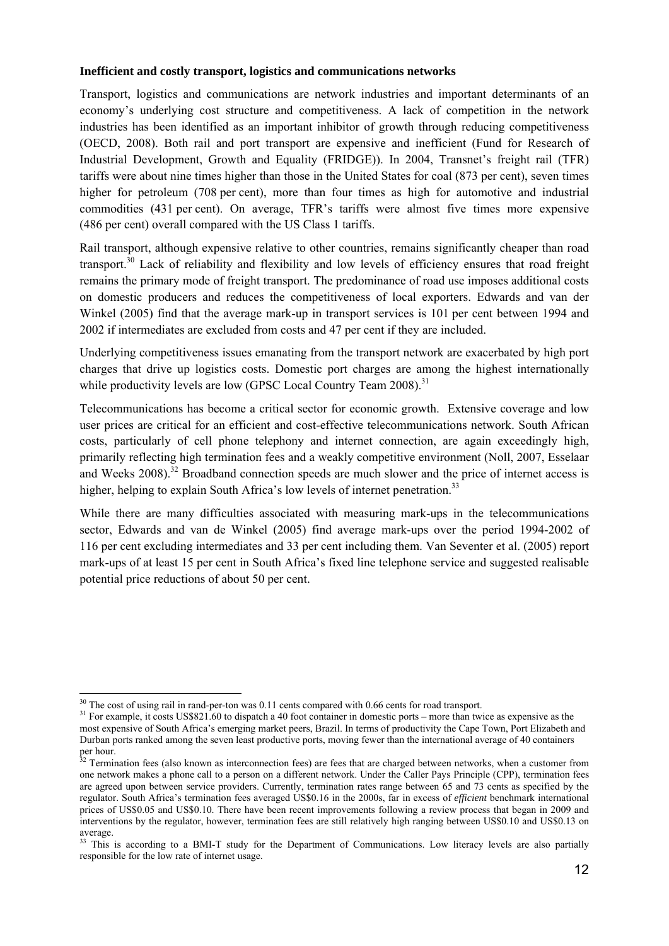#### **Inefficient and costly transport, logistics and communications networks**

Transport, logistics and communications are network industries and important determinants of an economy's underlying cost structure and competitiveness. A lack of competition in the network industries has been identified as an important inhibitor of growth through reducing competitiveness (OECD, 2008). Both rail and port transport are expensive and inefficient (Fund for Research of Industrial Development, Growth and Equality (FRIDGE)). In 2004, Transnet's freight rail (TFR) tariffs were about nine times higher than those in the United States for coal (873 per cent), seven times higher for petroleum (708 per cent), more than four times as high for automotive and industrial commodities (431 per cent). On average, TFR's tariffs were almost five times more expensive (486 per cent) overall compared with the US Class 1 tariffs.

Rail transport, although expensive relative to other countries, remains significantly cheaper than road transport.30 Lack of reliability and flexibility and low levels of efficiency ensures that road freight remains the primary mode of freight transport. The predominance of road use imposes additional costs on domestic producers and reduces the competitiveness of local exporters. Edwards and van der Winkel (2005) find that the average mark-up in transport services is 101 per cent between 1994 and 2002 if intermediates are excluded from costs and 47 per cent if they are included.

Underlying competitiveness issues emanating from the transport network are exacerbated by high port charges that drive up logistics costs. Domestic port charges are among the highest internationally while productivity levels are low (GPSC Local Country Team  $2008$ ).<sup>31</sup>

Telecommunications has become a critical sector for economic growth. Extensive coverage and low user prices are critical for an efficient and cost-effective telecommunications network. South African costs, particularly of cell phone telephony and internet connection, are again exceedingly high, primarily reflecting high termination fees and a weakly competitive environment (Noll, 2007, Esselaar and Weeks 2008).<sup>32</sup> Broadband connection speeds are much slower and the price of internet access is higher, helping to explain South Africa's low levels of internet penetration.<sup>33</sup>

While there are many difficulties associated with measuring mark-ups in the telecommunications sector, Edwards and van de Winkel (2005) find average mark-ups over the period 1994-2002 of 116 per cent excluding intermediates and 33 per cent including them. Van Seventer et al. (2005) report mark-ups of at least 15 per cent in South Africa's fixed line telephone service and suggested realisable potential price reductions of about 50 per cent.

 $30$  The cost of using rail in rand-per-ton was 0.11 cents compared with 0.66 cents for road transport.

 $31$  For example, it costs US\$821.60 to dispatch a 40 foot container in domestic ports – more than twice as expensive as the most expensive of South Africa's emerging market peers, Brazil. In terms of productivity the Cape Town, Port Elizabeth and Durban ports ranked among the seven least productive ports, moving fewer than the international average of 40 containers per hour.

 $32$  Termination fees (also known as interconnection fees) are fees that are charged between networks, when a customer from one network makes a phone call to a person on a different network. Under the Caller Pays Principle (CPP), termination fees are agreed upon between service providers. Currently, termination rates range between 65 and 73 cents as specified by the regulator. South Africa's termination fees averaged US\$0.16 in the 2000s, far in excess of *efficient* benchmark international prices of US\$0.05 and US\$0.10. There have been recent improvements following a review process that began in 2009 and interventions by the regulator, however, termination fees are still relatively high ranging between US\$0.10 and US\$0.13 on average.

<sup>&</sup>lt;sup>33</sup> This is according to a BMI-T study for the Department of Communications. Low literacy levels are also partially responsible for the low rate of internet usage.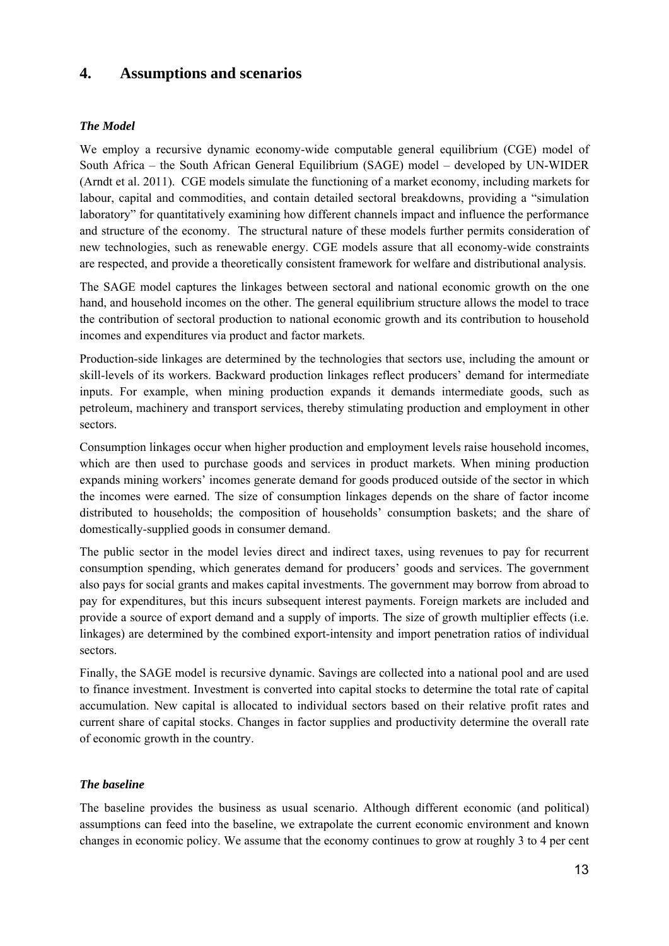## **4. Assumptions and scenarios**

## *The Model*

We employ a recursive dynamic economy-wide computable general equilibrium (CGE) model of South Africa – the South African General Equilibrium (SAGE) model – developed by UN-WIDER (Arndt et al. 2011). CGE models simulate the functioning of a market economy, including markets for labour, capital and commodities, and contain detailed sectoral breakdowns, providing a "simulation laboratory" for quantitatively examining how different channels impact and influence the performance and structure of the economy. The structural nature of these models further permits consideration of new technologies, such as renewable energy. CGE models assure that all economy-wide constraints are respected, and provide a theoretically consistent framework for welfare and distributional analysis.

The SAGE model captures the linkages between sectoral and national economic growth on the one hand, and household incomes on the other. The general equilibrium structure allows the model to trace the contribution of sectoral production to national economic growth and its contribution to household incomes and expenditures via product and factor markets.

Production-side linkages are determined by the technologies that sectors use, including the amount or skill-levels of its workers. Backward production linkages reflect producers' demand for intermediate inputs. For example, when mining production expands it demands intermediate goods, such as petroleum, machinery and transport services, thereby stimulating production and employment in other sectors.

Consumption linkages occur when higher production and employment levels raise household incomes, which are then used to purchase goods and services in product markets. When mining production expands mining workers' incomes generate demand for goods produced outside of the sector in which the incomes were earned. The size of consumption linkages depends on the share of factor income distributed to households; the composition of households' consumption baskets; and the share of domestically-supplied goods in consumer demand.

The public sector in the model levies direct and indirect taxes, using revenues to pay for recurrent consumption spending, which generates demand for producers' goods and services. The government also pays for social grants and makes capital investments. The government may borrow from abroad to pay for expenditures, but this incurs subsequent interest payments. Foreign markets are included and provide a source of export demand and a supply of imports. The size of growth multiplier effects (i.e. linkages) are determined by the combined export-intensity and import penetration ratios of individual sectors.

Finally, the SAGE model is recursive dynamic. Savings are collected into a national pool and are used to finance investment. Investment is converted into capital stocks to determine the total rate of capital accumulation. New capital is allocated to individual sectors based on their relative profit rates and current share of capital stocks. Changes in factor supplies and productivity determine the overall rate of economic growth in the country.

## *The baseline*

The baseline provides the business as usual scenario. Although different economic (and political) assumptions can feed into the baseline, we extrapolate the current economic environment and known changes in economic policy. We assume that the economy continues to grow at roughly 3 to 4 per cent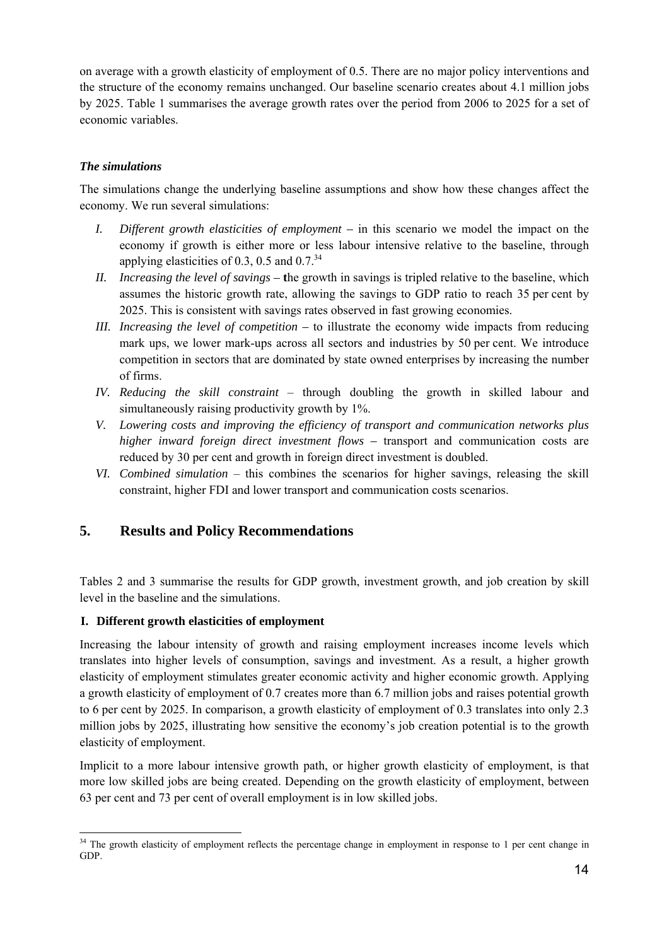on average with a growth elasticity of employment of 0.5. There are no major policy interventions and the structure of the economy remains unchanged. Our baseline scenario creates about 4.1 million jobs by 2025. Table 1 summarises the average growth rates over the period from 2006 to 2025 for a set of economic variables.

## *The simulations*

The simulations change the underlying baseline assumptions and show how these changes affect the economy. We run several simulations:

- *I. Different growth elasticities of employment* in this scenario we model the impact on the economy if growth is either more or less labour intensive relative to the baseline, through applying elasticities of 0.3, 0.5 and  $0.7^{34}$
- *II. Increasing the level of savings –* **t**he growth in savings is tripled relative to the baseline, which assumes the historic growth rate, allowing the savings to GDP ratio to reach 35 per cent by 2025. This is consistent with savings rates observed in fast growing economies.
- *III. Increasing the level of competition* to illustrate the economy wide impacts from reducing mark ups, we lower mark-ups across all sectors and industries by 50 per cent. We introduce competition in sectors that are dominated by state owned enterprises by increasing the number of firms.
- *IV. Reducing the skill constraint* through doubling the growth in skilled labour and simultaneously raising productivity growth by 1%.
- *V. Lowering costs and improving the efficiency of transport and communication networks plus higher inward foreign direct investment flows – transport and communication costs are* reduced by 30 per cent and growth in foreign direct investment is doubled.
- *VI. Combined simulation* this combines the scenarios for higher savings, releasing the skill constraint, higher FDI and lower transport and communication costs scenarios.

## **5. Results and Policy Recommendations**

Tables 2 and 3 summarise the results for GDP growth, investment growth, and job creation by skill level in the baseline and the simulations.

## **I. Different growth elasticities of employment**

-

Increasing the labour intensity of growth and raising employment increases income levels which translates into higher levels of consumption, savings and investment. As a result, a higher growth elasticity of employment stimulates greater economic activity and higher economic growth. Applying a growth elasticity of employment of 0.7 creates more than 6.7 million jobs and raises potential growth to 6 per cent by 2025. In comparison, a growth elasticity of employment of 0.3 translates into only 2.3 million jobs by 2025, illustrating how sensitive the economy's job creation potential is to the growth elasticity of employment.

Implicit to a more labour intensive growth path, or higher growth elasticity of employment, is that more low skilled jobs are being created. Depending on the growth elasticity of employment, between 63 per cent and 73 per cent of overall employment is in low skilled jobs.

<sup>&</sup>lt;sup>34</sup> The growth elasticity of employment reflects the percentage change in employment in response to 1 per cent change in GDP.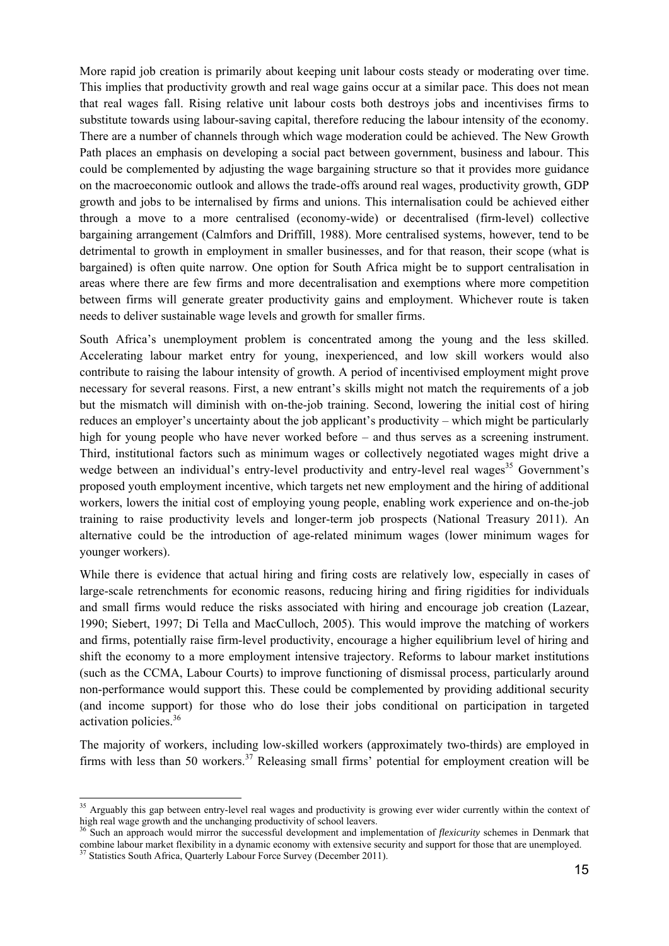More rapid job creation is primarily about keeping unit labour costs steady or moderating over time. This implies that productivity growth and real wage gains occur at a similar pace. This does not mean that real wages fall. Rising relative unit labour costs both destroys jobs and incentivises firms to substitute towards using labour-saving capital, therefore reducing the labour intensity of the economy. There are a number of channels through which wage moderation could be achieved. The New Growth Path places an emphasis on developing a social pact between government, business and labour. This could be complemented by adjusting the wage bargaining structure so that it provides more guidance on the macroeconomic outlook and allows the trade-offs around real wages, productivity growth, GDP growth and jobs to be internalised by firms and unions. This internalisation could be achieved either through a move to a more centralised (economy-wide) or decentralised (firm-level) collective bargaining arrangement (Calmfors and Driffill, 1988). More centralised systems, however, tend to be detrimental to growth in employment in smaller businesses, and for that reason, their scope (what is bargained) is often quite narrow. One option for South Africa might be to support centralisation in areas where there are few firms and more decentralisation and exemptions where more competition between firms will generate greater productivity gains and employment. Whichever route is taken needs to deliver sustainable wage levels and growth for smaller firms.

South Africa's unemployment problem is concentrated among the young and the less skilled. Accelerating labour market entry for young, inexperienced, and low skill workers would also contribute to raising the labour intensity of growth. A period of incentivised employment might prove necessary for several reasons. First, a new entrant's skills might not match the requirements of a job but the mismatch will diminish with on-the-job training. Second, lowering the initial cost of hiring reduces an employer's uncertainty about the job applicant's productivity – which might be particularly high for young people who have never worked before – and thus serves as a screening instrument. Third, institutional factors such as minimum wages or collectively negotiated wages might drive a wedge between an individual's entry-level productivity and entry-level real wages<sup>35</sup> Government's proposed youth employment incentive, which targets net new employment and the hiring of additional workers, lowers the initial cost of employing young people, enabling work experience and on-the-job training to raise productivity levels and longer-term job prospects (National Treasury 2011). An alternative could be the introduction of age-related minimum wages (lower minimum wages for younger workers).

While there is evidence that actual hiring and firing costs are relatively low, especially in cases of large-scale retrenchments for economic reasons, reducing hiring and firing rigidities for individuals and small firms would reduce the risks associated with hiring and encourage job creation (Lazear, 1990; Siebert, 1997; Di Tella and MacCulloch, 2005). This would improve the matching of workers and firms, potentially raise firm-level productivity, encourage a higher equilibrium level of hiring and shift the economy to a more employment intensive trajectory. Reforms to labour market institutions (such as the CCMA, Labour Courts) to improve functioning of dismissal process, particularly around non-performance would support this. These could be complemented by providing additional security (and income support) for those who do lose their jobs conditional on participation in targeted activation policies.<sup>36</sup>

The majority of workers, including low-skilled workers (approximately two-thirds) are employed in firms with less than 50 workers.<sup>37</sup> Releasing small firms' potential for employment creation will be

-

<sup>&</sup>lt;sup>35</sup> Arguably this gap between entry-level real wages and productivity is growing ever wider currently within the context of high real wage growth and the unchanging productivity of school leavers. 36 Such an approach would mirror the successful development and implementation of *flexicurity* schemes in Denmark that

combine labour market flexibility in a dynamic economy with extensive security and support for those that are unemployed.<br><sup>37</sup> Statistics South Africa, Quarterly Labour Force Survey (December 2011).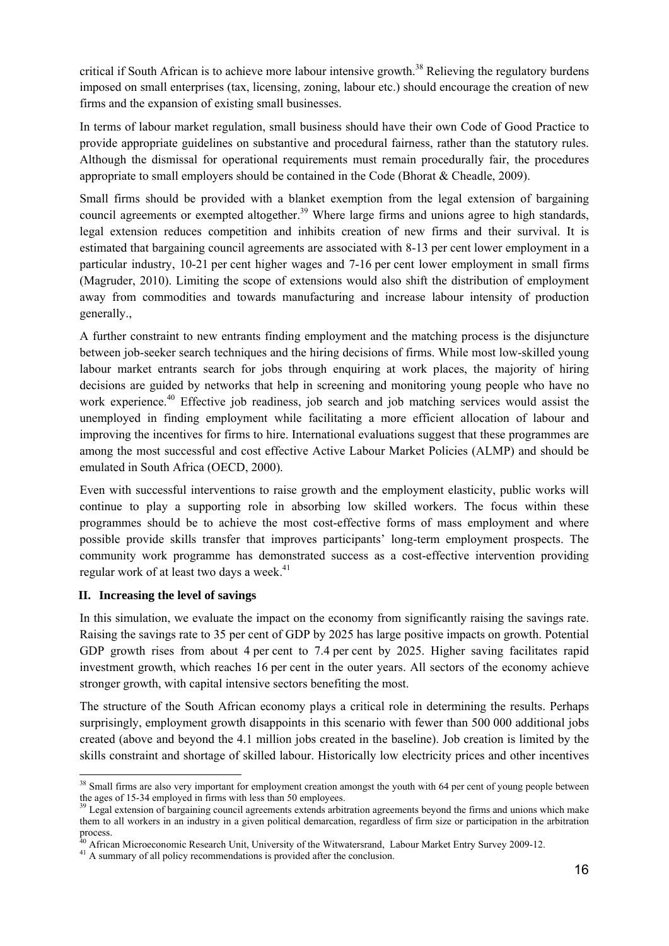critical if South African is to achieve more labour intensive growth.<sup>38</sup> Relieving the regulatory burdens imposed on small enterprises (tax, licensing, zoning, labour etc.) should encourage the creation of new firms and the expansion of existing small businesses.

In terms of labour market regulation, small business should have their own Code of Good Practice to provide appropriate guidelines on substantive and procedural fairness, rather than the statutory rules. Although the dismissal for operational requirements must remain procedurally fair, the procedures appropriate to small employers should be contained in the Code (Bhorat & Cheadle, 2009).

Small firms should be provided with a blanket exemption from the legal extension of bargaining council agreements or exempted altogether.<sup>39</sup> Where large firms and unions agree to high standards, legal extension reduces competition and inhibits creation of new firms and their survival. It is estimated that bargaining council agreements are associated with 8-13 per cent lower employment in a particular industry, 10-21 per cent higher wages and 7-16 per cent lower employment in small firms (Magruder, 2010). Limiting the scope of extensions would also shift the distribution of employment away from commodities and towards manufacturing and increase labour intensity of production generally.,

A further constraint to new entrants finding employment and the matching process is the disjuncture between job-seeker search techniques and the hiring decisions of firms. While most low-skilled young labour market entrants search for jobs through enquiring at work places, the majority of hiring decisions are guided by networks that help in screening and monitoring young people who have no work experience.<sup>40</sup> Effective job readiness, job search and job matching services would assist the unemployed in finding employment while facilitating a more efficient allocation of labour and improving the incentives for firms to hire. International evaluations suggest that these programmes are among the most successful and cost effective Active Labour Market Policies (ALMP) and should be emulated in South Africa (OECD, 2000).

Even with successful interventions to raise growth and the employment elasticity, public works will continue to play a supporting role in absorbing low skilled workers. The focus within these programmes should be to achieve the most cost-effective forms of mass employment and where possible provide skills transfer that improves participants' long-term employment prospects. The community work programme has demonstrated success as a cost-effective intervention providing regular work of at least two days a week.<sup>41</sup>

## **II. Increasing the level of savings**

In this simulation, we evaluate the impact on the economy from significantly raising the savings rate. Raising the savings rate to 35 per cent of GDP by 2025 has large positive impacts on growth. Potential GDP growth rises from about 4 per cent to 7.4 per cent by 2025. Higher saving facilitates rapid investment growth, which reaches 16 per cent in the outer years. All sectors of the economy achieve stronger growth, with capital intensive sectors benefiting the most.

The structure of the South African economy plays a critical role in determining the results. Perhaps surprisingly, employment growth disappoints in this scenario with fewer than 500 000 additional jobs created (above and beyond the 4.1 million jobs created in the baseline). Job creation is limited by the skills constraint and shortage of skilled labour. Historically low electricity prices and other incentives

<sup>-</sup><sup>38</sup> Small firms are also very important for employment creation amongst the youth with 64 per cent of young people between the ages of 15-34 employed in firms with less than 50 employees.

<sup>&</sup>lt;sup>39</sup> Legal extension of bargaining council agreements extends arbitration agreements beyond the firms and unions which make them to all workers in an industry in a given political demarcation, regardless of firm size or participation in the arbitration process.

 $40$  African Microeconomic Research Unit, University of the Witwatersrand, Labour Market Entry Survey 2009-12.<br><sup>41</sup> A summary of all policy recommendations is provided after the conclusion.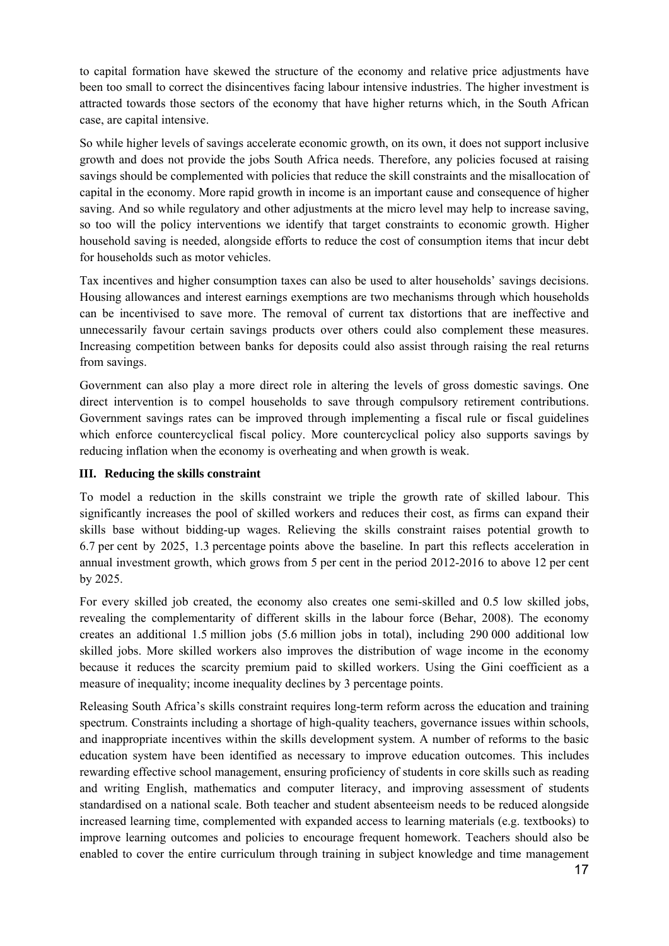to capital formation have skewed the structure of the economy and relative price adjustments have been too small to correct the disincentives facing labour intensive industries. The higher investment is attracted towards those sectors of the economy that have higher returns which, in the South African case, are capital intensive.

So while higher levels of savings accelerate economic growth, on its own, it does not support inclusive growth and does not provide the jobs South Africa needs. Therefore, any policies focused at raising savings should be complemented with policies that reduce the skill constraints and the misallocation of capital in the economy. More rapid growth in income is an important cause and consequence of higher saving. And so while regulatory and other adjustments at the micro level may help to increase saving, so too will the policy interventions we identify that target constraints to economic growth. Higher household saving is needed, alongside efforts to reduce the cost of consumption items that incur debt for households such as motor vehicles.

Tax incentives and higher consumption taxes can also be used to alter households' savings decisions. Housing allowances and interest earnings exemptions are two mechanisms through which households can be incentivised to save more. The removal of current tax distortions that are ineffective and unnecessarily favour certain savings products over others could also complement these measures. Increasing competition between banks for deposits could also assist through raising the real returns from savings.

Government can also play a more direct role in altering the levels of gross domestic savings. One direct intervention is to compel households to save through compulsory retirement contributions. Government savings rates can be improved through implementing a fiscal rule or fiscal guidelines which enforce countercyclical fiscal policy. More countercyclical policy also supports savings by reducing inflation when the economy is overheating and when growth is weak.

## **III. Reducing the skills constraint**

To model a reduction in the skills constraint we triple the growth rate of skilled labour. This significantly increases the pool of skilled workers and reduces their cost, as firms can expand their skills base without bidding-up wages. Relieving the skills constraint raises potential growth to 6.7 per cent by 2025, 1.3 percentage points above the baseline. In part this reflects acceleration in annual investment growth, which grows from 5 per cent in the period 2012-2016 to above 12 per cent by 2025.

For every skilled job created, the economy also creates one semi-skilled and 0.5 low skilled jobs, revealing the complementarity of different skills in the labour force (Behar, 2008). The economy creates an additional 1.5 million jobs (5.6 million jobs in total), including 290 000 additional low skilled jobs. More skilled workers also improves the distribution of wage income in the economy because it reduces the scarcity premium paid to skilled workers. Using the Gini coefficient as a measure of inequality; income inequality declines by 3 percentage points.

Releasing South Africa's skills constraint requires long-term reform across the education and training spectrum. Constraints including a shortage of high-quality teachers, governance issues within schools, and inappropriate incentives within the skills development system. A number of reforms to the basic education system have been identified as necessary to improve education outcomes. This includes rewarding effective school management, ensuring proficiency of students in core skills such as reading and writing English, mathematics and computer literacy, and improving assessment of students standardised on a national scale. Both teacher and student absenteeism needs to be reduced alongside increased learning time, complemented with expanded access to learning materials (e.g. textbooks) to improve learning outcomes and policies to encourage frequent homework. Teachers should also be enabled to cover the entire curriculum through training in subject knowledge and time management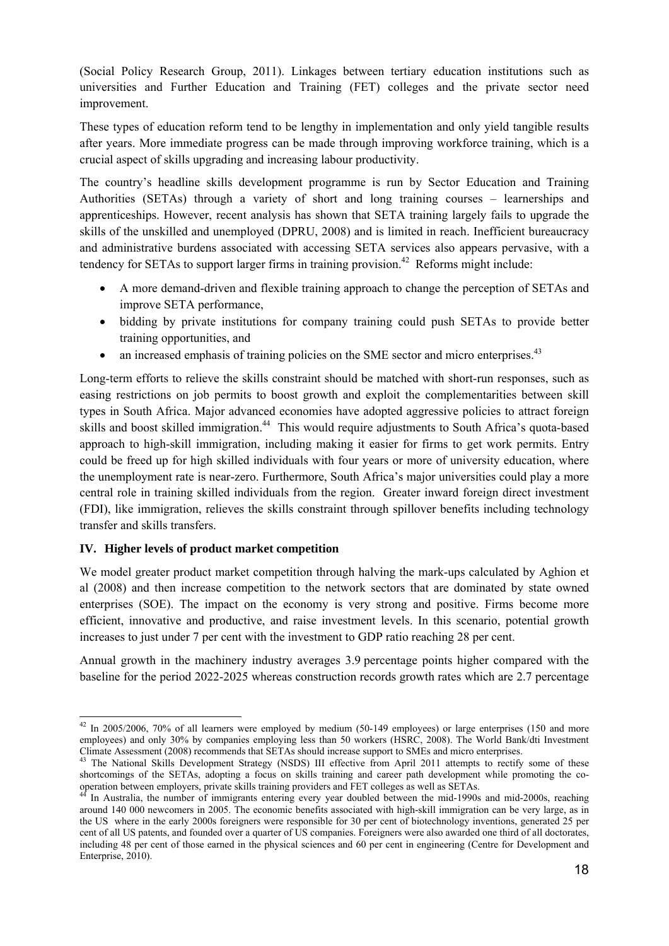(Social Policy Research Group, 2011). Linkages between tertiary education institutions such as universities and Further Education and Training (FET) colleges and the private sector need improvement.

These types of education reform tend to be lengthy in implementation and only yield tangible results after years. More immediate progress can be made through improving workforce training, which is a crucial aspect of skills upgrading and increasing labour productivity.

The country's headline skills development programme is run by Sector Education and Training Authorities (SETAs) through a variety of short and long training courses – learnerships and apprenticeships. However, recent analysis has shown that SETA training largely fails to upgrade the skills of the unskilled and unemployed (DPRU, 2008) and is limited in reach. Inefficient bureaucracy and administrative burdens associated with accessing SETA services also appears pervasive, with a tendency for SETAs to support larger firms in training provision.<sup>42</sup> Reforms might include:

- A more demand-driven and flexible training approach to change the perception of SETAs and improve SETA performance,
- bidding by private institutions for company training could push SETAs to provide better training opportunities, and
- $\bullet$  an increased emphasis of training policies on the SME sector and micro enterprises.<sup>43</sup>

Long-term efforts to relieve the skills constraint should be matched with short-run responses, such as easing restrictions on job permits to boost growth and exploit the complementarities between skill types in South Africa. Major advanced economies have adopted aggressive policies to attract foreign skills and boost skilled immigration.<sup>44</sup> This would require adjustments to South Africa's quota-based approach to high-skill immigration, including making it easier for firms to get work permits. Entry could be freed up for high skilled individuals with four years or more of university education, where the unemployment rate is near-zero. Furthermore, South Africa's major universities could play a more central role in training skilled individuals from the region. Greater inward foreign direct investment (FDI), like immigration, relieves the skills constraint through spillover benefits including technology transfer and skills transfers.

## **IV. Higher levels of product market competition**

We model greater product market competition through halving the mark-ups calculated by Aghion et al (2008) and then increase competition to the network sectors that are dominated by state owned enterprises (SOE). The impact on the economy is very strong and positive. Firms become more efficient, innovative and productive, and raise investment levels. In this scenario, potential growth increases to just under 7 per cent with the investment to GDP ratio reaching 28 per cent.

Annual growth in the machinery industry averages 3.9 percentage points higher compared with the baseline for the period 2022-2025 whereas construction records growth rates which are 2.7 percentage

<sup>-</sup> $42$  In 2005/2006, 70% of all learners were employed by medium (50-149 employees) or large enterprises (150 and more employees) and only 30% by companies employing less than 50 workers (HSRC, 2008). The World Bank/dti Investment Climate Assessment (2008) recommends that SETAs should increase support to SMEs and micro enterprises. 43 The National Skills Development Strategy (NSDS) III effective from April 2011 attempts to rectify some of these

shortcomings of the SETAs, adopting a focus on skills training and career path development while promoting the co-<br>operation between employers, private skills training providers and FET colleges as well as SETAs.

<sup>&</sup>lt;sup>44</sup> In Australia, the number of immigrants entering every year doubled between the mid-1990s and mid-2000s, reaching around 140 000 newcomers in 2005. The economic benefits associated with high-skill immigration can be very large, as in the US where in the early 2000s foreigners were responsible for 30 per cent of biotechnology inventions, generated 25 per cent of all US patents, and founded over a quarter of US companies. Foreigners were also awarded one third of all doctorates, including 48 per cent of those earned in the physical sciences and 60 per cent in engineering (Centre for Development and Enterprise, 2010).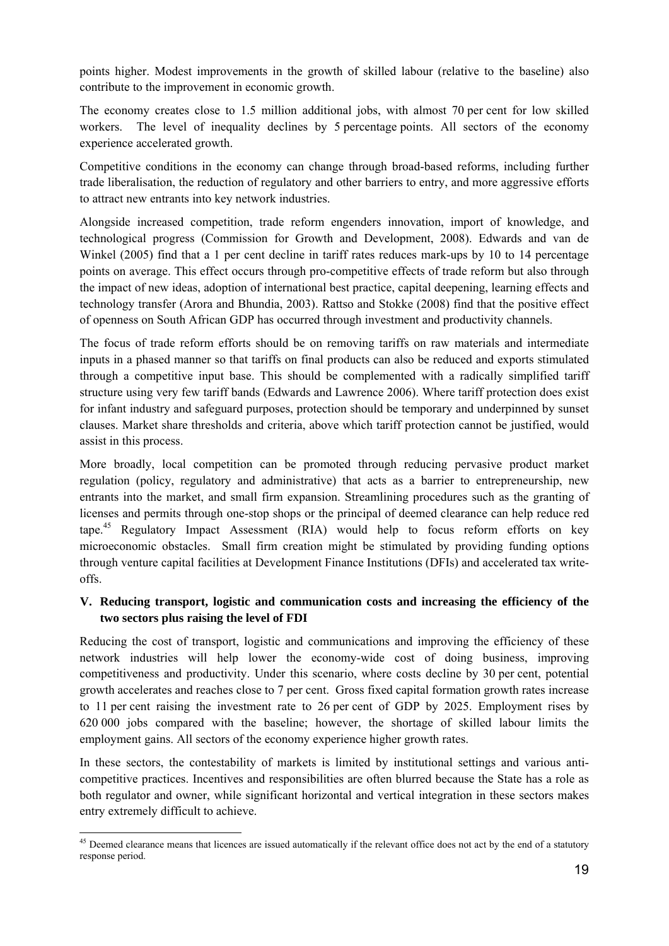points higher. Modest improvements in the growth of skilled labour (relative to the baseline) also contribute to the improvement in economic growth.

The economy creates close to 1.5 million additional jobs, with almost 70 per cent for low skilled workers. The level of inequality declines by 5 percentage points. All sectors of the economy experience accelerated growth.

Competitive conditions in the economy can change through broad-based reforms, including further trade liberalisation, the reduction of regulatory and other barriers to entry, and more aggressive efforts to attract new entrants into key network industries.

Alongside increased competition, trade reform engenders innovation, import of knowledge, and technological progress (Commission for Growth and Development, 2008). Edwards and van de Winkel (2005) find that a 1 per cent decline in tariff rates reduces mark-ups by 10 to 14 percentage points on average. This effect occurs through pro-competitive effects of trade reform but also through the impact of new ideas, adoption of international best practice, capital deepening, learning effects and technology transfer (Arora and Bhundia, 2003). Rattso and Stokke (2008) find that the positive effect of openness on South African GDP has occurred through investment and productivity channels.

The focus of trade reform efforts should be on removing tariffs on raw materials and intermediate inputs in a phased manner so that tariffs on final products can also be reduced and exports stimulated through a competitive input base. This should be complemented with a radically simplified tariff structure using very few tariff bands (Edwards and Lawrence 2006). Where tariff protection does exist for infant industry and safeguard purposes, protection should be temporary and underpinned by sunset clauses. Market share thresholds and criteria, above which tariff protection cannot be justified, would assist in this process.

More broadly, local competition can be promoted through reducing pervasive product market regulation (policy, regulatory and administrative) that acts as a barrier to entrepreneurship, new entrants into the market, and small firm expansion. Streamlining procedures such as the granting of licenses and permits through one-stop shops or the principal of deemed clearance can help reduce red tape.<sup>45</sup> Regulatory Impact Assessment (RIA) would help to focus reform efforts on key microeconomic obstacles. Small firm creation might be stimulated by providing funding options through venture capital facilities at Development Finance Institutions (DFIs) and accelerated tax writeoffs.

## **V. Reducing transport, logistic and communication costs and increasing the efficiency of the two sectors plus raising the level of FDI**

Reducing the cost of transport, logistic and communications and improving the efficiency of these network industries will help lower the economy-wide cost of doing business, improving competitiveness and productivity. Under this scenario, where costs decline by 30 per cent, potential growth accelerates and reaches close to 7 per cent. Gross fixed capital formation growth rates increase to 11 per cent raising the investment rate to 26 per cent of GDP by 2025. Employment rises by 620 000 jobs compared with the baseline; however, the shortage of skilled labour limits the employment gains. All sectors of the economy experience higher growth rates.

In these sectors, the contestability of markets is limited by institutional settings and various anticompetitive practices. Incentives and responsibilities are often blurred because the State has a role as both regulator and owner, while significant horizontal and vertical integration in these sectors makes entry extremely difficult to achieve.

<sup>-</sup><sup>45</sup> Deemed clearance means that licences are issued automatically if the relevant office does not act by the end of a statutory response period.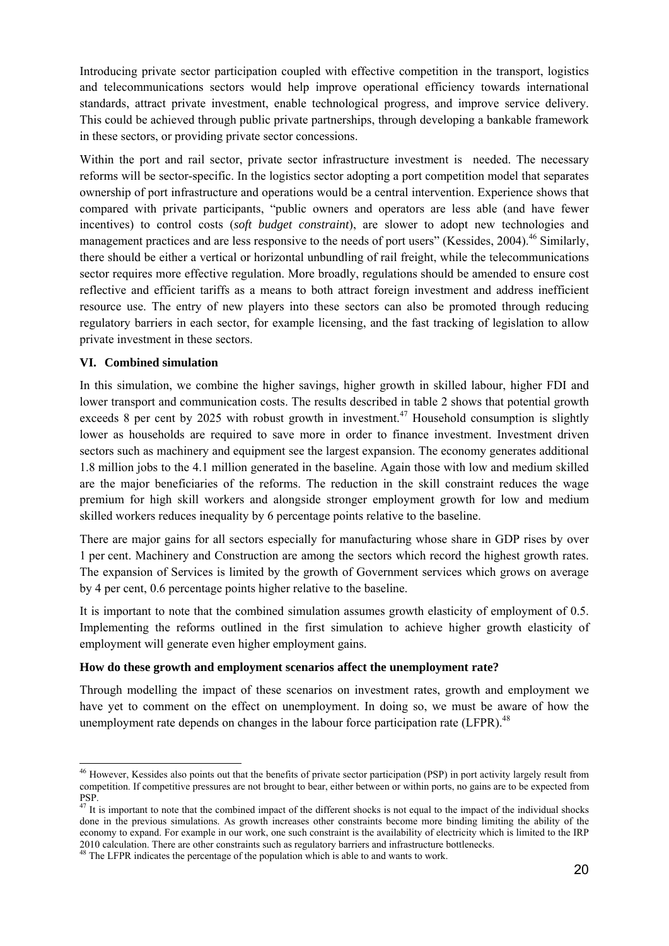Introducing private sector participation coupled with effective competition in the transport, logistics and telecommunications sectors would help improve operational efficiency towards international standards, attract private investment, enable technological progress, and improve service delivery. This could be achieved through public private partnerships, through developing a bankable framework in these sectors, or providing private sector concessions.

Within the port and rail sector, private sector infrastructure investment is needed. The necessary reforms will be sector-specific. In the logistics sector adopting a port competition model that separates ownership of port infrastructure and operations would be a central intervention. Experience shows that compared with private participants, "public owners and operators are less able (and have fewer incentives) to control costs (*soft budget constraint*), are slower to adopt new technologies and management practices and are less responsive to the needs of port users" (Kessides, 2004).<sup>46</sup> Similarly, there should be either a vertical or horizontal unbundling of rail freight, while the telecommunications sector requires more effective regulation. More broadly, regulations should be amended to ensure cost reflective and efficient tariffs as a means to both attract foreign investment and address inefficient resource use. The entry of new players into these sectors can also be promoted through reducing regulatory barriers in each sector, for example licensing, and the fast tracking of legislation to allow private investment in these sectors.

#### **VI. Combined simulation**

-

In this simulation, we combine the higher savings, higher growth in skilled labour, higher FDI and lower transport and communication costs. The results described in table 2 shows that potential growth exceeds 8 per cent by 2025 with robust growth in investment.<sup>47</sup> Household consumption is slightly lower as households are required to save more in order to finance investment. Investment driven sectors such as machinery and equipment see the largest expansion. The economy generates additional 1.8 million jobs to the 4.1 million generated in the baseline. Again those with low and medium skilled are the major beneficiaries of the reforms. The reduction in the skill constraint reduces the wage premium for high skill workers and alongside stronger employment growth for low and medium skilled workers reduces inequality by 6 percentage points relative to the baseline.

There are major gains for all sectors especially for manufacturing whose share in GDP rises by over 1 per cent. Machinery and Construction are among the sectors which record the highest growth rates. The expansion of Services is limited by the growth of Government services which grows on average by 4 per cent, 0.6 percentage points higher relative to the baseline.

It is important to note that the combined simulation assumes growth elasticity of employment of 0.5. Implementing the reforms outlined in the first simulation to achieve higher growth elasticity of employment will generate even higher employment gains.

#### **How do these growth and employment scenarios affect the unemployment rate?**

Through modelling the impact of these scenarios on investment rates, growth and employment we have yet to comment on the effect on unemployment. In doing so, we must be aware of how the unemployment rate depends on changes in the labour force participation rate (LFPR).<sup>48</sup>

<sup>&</sup>lt;sup>46</sup> However, Kessides also points out that the benefits of private sector participation (PSP) in port activity largely result from competition. If competitive pressures are not brought to bear, either between or within ports, no gains are to be expected from PSP.

 $47$  It is important to note that the combined impact of the different shocks is not equal to the impact of the individual shocks done in the previous simulations. As growth increases other constraints become more binding limiting the ability of the economy to expand. For example in our work, one such constraint is the availability of electricity which is limited to the IRP 2010 calculation. There are other constraints such as regulatory barriers and infrastructure bottlenecks. 48 The LFPR indicates the percentage of the population which is able to and wants to work.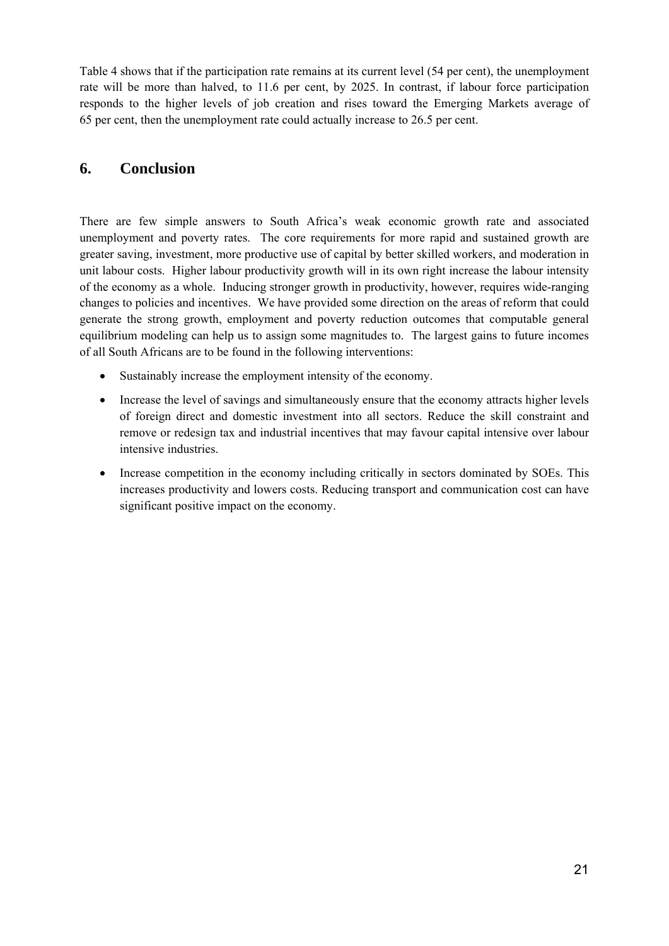Table 4 shows that if the participation rate remains at its current level (54 per cent), the unemployment rate will be more than halved, to 11.6 per cent, by 2025. In contrast, if labour force participation responds to the higher levels of job creation and rises toward the Emerging Markets average of 65 per cent, then the unemployment rate could actually increase to 26.5 per cent.

## **6. Conclusion**

There are few simple answers to South Africa's weak economic growth rate and associated unemployment and poverty rates. The core requirements for more rapid and sustained growth are greater saving, investment, more productive use of capital by better skilled workers, and moderation in unit labour costs. Higher labour productivity growth will in its own right increase the labour intensity of the economy as a whole. Inducing stronger growth in productivity, however, requires wide-ranging changes to policies and incentives. We have provided some direction on the areas of reform that could generate the strong growth, employment and poverty reduction outcomes that computable general equilibrium modeling can help us to assign some magnitudes to. The largest gains to future incomes of all South Africans are to be found in the following interventions:

- Sustainably increase the employment intensity of the economy.
- Increase the level of savings and simultaneously ensure that the economy attracts higher levels of foreign direct and domestic investment into all sectors. Reduce the skill constraint and remove or redesign tax and industrial incentives that may favour capital intensive over labour intensive industries.
- Increase competition in the economy including critically in sectors dominated by SOEs. This increases productivity and lowers costs. Reducing transport and communication cost can have significant positive impact on the economy.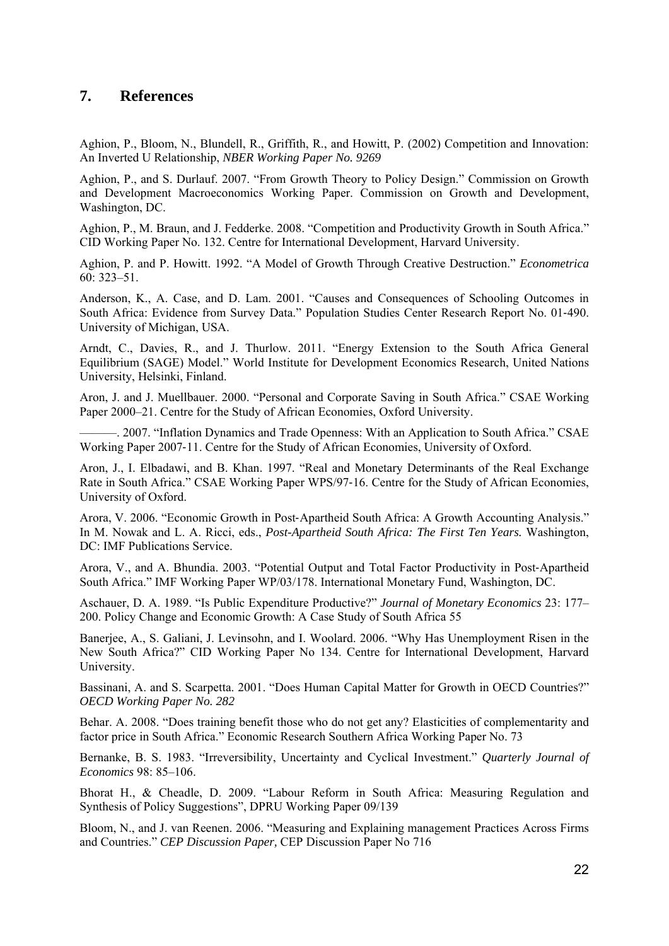## **7. References**

Aghion, P., Bloom, N., Blundell, R., Griffith, R., and Howitt, P. (2002) Competition and Innovation: An Inverted U Relationship, *NBER Working Paper No. 9269* 

Aghion, P., and S. Durlauf. 2007. "From Growth Theory to Policy Design." Commission on Growth and Development Macroeconomics Working Paper. Commission on Growth and Development, Washington, DC.

Aghion, P., M. Braun, and J. Fedderke. 2008. "Competition and Productivity Growth in South Africa." CID Working Paper No. 132. Centre for International Development, Harvard University.

Aghion, P. and P. Howitt. 1992. "A Model of Growth Through Creative Destruction." *Econometrica*  60: 323–51.

Anderson, K., A. Case, and D. Lam. 2001. "Causes and Consequences of Schooling Outcomes in South Africa: Evidence from Survey Data." Population Studies Center Research Report No. 01‐490. University of Michigan, USA.

Arndt, C., Davies, R., and J. Thurlow. 2011. "Energy Extension to the South Africa General Equilibrium (SAGE) Model." World Institute for Development Economics Research, United Nations University, Helsinki, Finland.

Aron, J. and J. Muellbauer. 2000. "Personal and Corporate Saving in South Africa." CSAE Working Paper 2000–21. Centre for the Study of African Economies, Oxford University.

———. 2007. "Inflation Dynamics and Trade Openness: With an Application to South Africa." CSAE Working Paper 2007‐11. Centre for the Study of African Economies, University of Oxford.

Aron, J., I. Elbadawi, and B. Khan. 1997. "Real and Monetary Determinants of the Real Exchange Rate in South Africa." CSAE Working Paper WPS/97‐16. Centre for the Study of African Economies, University of Oxford.

Arora, V. 2006. "Economic Growth in Post‐Apartheid South Africa: A Growth Accounting Analysis." In M. Nowak and L. A. Ricci, eds., *Post-Apartheid South Africa: The First Ten Years.* Washington, DC: IMF Publications Service.

Arora, V., and A. Bhundia. 2003. "Potential Output and Total Factor Productivity in Post‐Apartheid South Africa." IMF Working Paper WP/03/178. International Monetary Fund, Washington, DC.

Aschauer, D. A. 1989. "Is Public Expenditure Productive?" *Journal of Monetary Economics* 23: 177– 200. Policy Change and Economic Growth: A Case Study of South Africa 55

Banerjee, A., S. Galiani, J. Levinsohn, and I. Woolard. 2006. "Why Has Unemployment Risen in the New South Africa?" CID Working Paper No 134. Centre for International Development, Harvard University.

Bassinani, A. and S. Scarpetta. 2001. "Does Human Capital Matter for Growth in OECD Countries?" *OECD Working Paper No. 282* 

Behar. A. 2008. "Does training benefit those who do not get any? Elasticities of complementarity and factor price in South Africa." Economic Research Southern Africa Working Paper No. 73

Bernanke, B. S. 1983. "Irreversibility, Uncertainty and Cyclical Investment." *Quarterly Journal of Economics* 98: 85–106.

Bhorat H., & Cheadle, D. 2009. "Labour Reform in South Africa: Measuring Regulation and Synthesis of Policy Suggestions", DPRU Working Paper 09/139

Bloom, N., and J. van Reenen. 2006. "Measuring and Explaining management Practices Across Firms and Countries." *CEP Discussion Paper,* CEP Discussion Paper No 716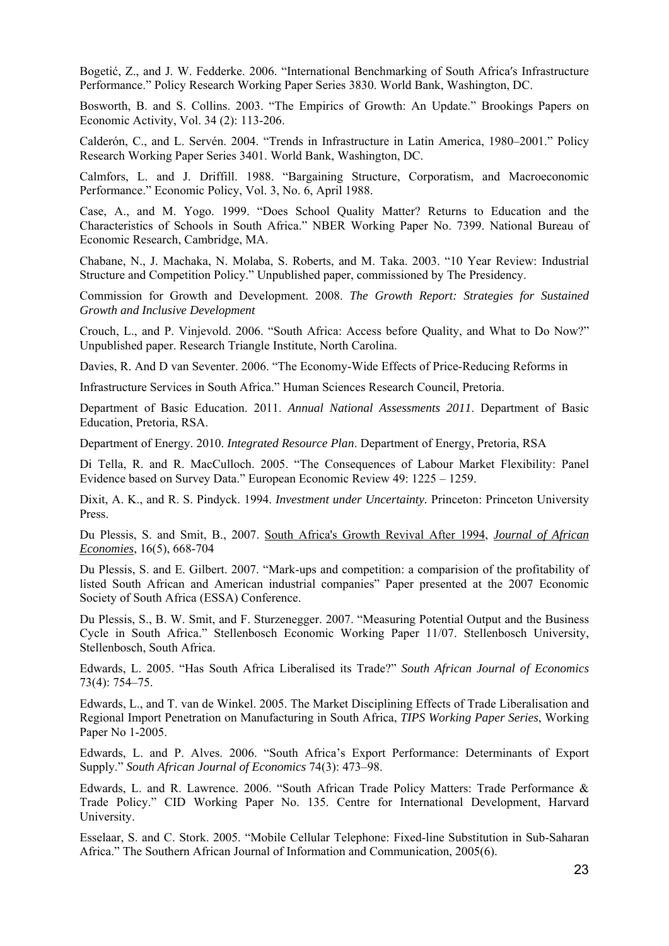Bogetić, Z., and J. W. Fedderke. 2006. "International Benchmarking of South Africa's Infrastructure Performance." Policy Research Working Paper Series 3830. World Bank, Washington, DC.

Bosworth, B. and S. Collins. 2003. "The Empirics of Growth: An Update." Brookings Papers on Economic Activity, Vol. 34 (2): 113-206.

Calderón, C., and L. Servén. 2004. "Trends in Infrastructure in Latin America, 1980–2001." Policy Research Working Paper Series 3401. World Bank, Washington, DC.

Calmfors, L. and J. Driffill. 1988. "Bargaining Structure, Corporatism, and Macroeconomic Performance." Economic Policy, Vol. 3, No. 6, April 1988.

Case, A., and M. Yogo. 1999. "Does School Quality Matter? Returns to Education and the Characteristics of Schools in South Africa." NBER Working Paper No. 7399. National Bureau of Economic Research, Cambridge, MA.

Chabane, N., J. Machaka, N. Molaba, S. Roberts, and M. Taka. 2003. "10 Year Review: Industrial Structure and Competition Policy." Unpublished paper, commissioned by The Presidency.

Commission for Growth and Development. 2008. *The Growth Report: Strategies for Sustained Growth and Inclusive Development*

Crouch, L., and P. Vinjevold. 2006. "South Africa: Access before Quality, and What to Do Now?" Unpublished paper. Research Triangle Institute, North Carolina.

Davies, R. And D van Seventer. 2006. "The Economy-Wide Effects of Price-Reducing Reforms in

Infrastructure Services in South Africa." Human Sciences Research Council, Pretoria.

Department of Basic Education. 2011. *Annual National Assessments 2011*. Department of Basic Education, Pretoria, RSA.

Department of Energy. 2010. *Integrated Resource Plan*. Department of Energy, Pretoria, RSA

Di Tella, R. and R. MacCulloch. 2005. "The Consequences of Labour Market Flexibility: Panel Evidence based on Survey Data." European Economic Review 49: 1225 – 1259.

Dixit, A. K., and R. S. Pindyck. 1994. *Investment under Uncertainty.* Princeton: Princeton University Press.

Du Plessis, S. and Smit, B., 2007. South Africa's Growth Revival After 1994, *Journal of African Economies*, 16(5), 668-704

Du Plessis, S. and E. Gilbert. 2007. "Mark-ups and competition: a comparision of the profitability of listed South African and American industrial companies" Paper presented at the 2007 Economic Society of South Africa (ESSA) Conference.

Du Plessis, S., B. W. Smit, and F. Sturzenegger. 2007. "Measuring Potential Output and the Business Cycle in South Africa." Stellenbosch Economic Working Paper 11/07. Stellenbosch University, Stellenbosch, South Africa.

Edwards, L. 2005. "Has South Africa Liberalised its Trade?" *South African Journal of Economics*  73(4): 754–75.

Edwards, L., and T. van de Winkel. 2005. The Market Disciplining Effects of Trade Liberalisation and Regional Import Penetration on Manufacturing in South Africa, *TIPS Working Paper Series*, Working Paper No 1-2005.

Edwards, L. and P. Alves. 2006. "South Africa's Export Performance: Determinants of Export Supply." *South African Journal of Economics* 74(3): 473–98.

Edwards, L. and R. Lawrence. 2006. "South African Trade Policy Matters: Trade Performance & Trade Policy." CID Working Paper No. 135. Centre for International Development, Harvard University.

Esselaar, S. and C. Stork. 2005. "Mobile Cellular Telephone: Fixed-line Substitution in Sub-Saharan Africa." The Southern African Journal of Information and Communication, 2005(6).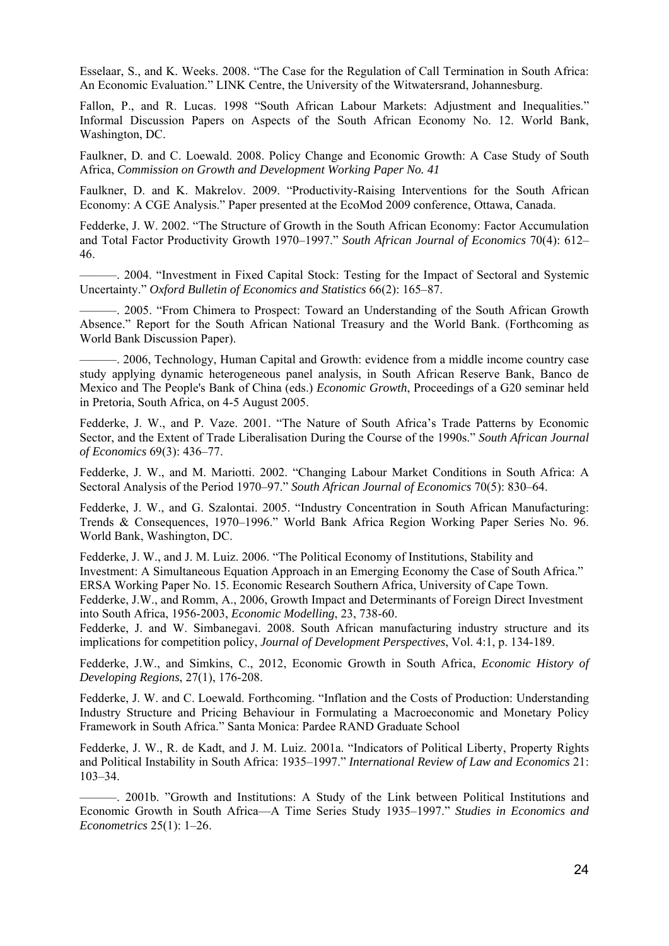Esselaar, S., and K. Weeks. 2008. "The Case for the Regulation of Call Termination in South Africa: An Economic Evaluation." LINK Centre, the University of the Witwatersrand, Johannesburg.

Fallon, P., and R. Lucas. 1998 "South African Labour Markets: Adjustment and Inequalities." Informal Discussion Papers on Aspects of the South African Economy No. 12. World Bank, Washington, DC.

Faulkner, D. and C. Loewald. 2008. Policy Change and Economic Growth: A Case Study of South Africa, *Commission on Growth and Development Working Paper No. 41* 

Faulkner, D. and K. Makrelov. 2009. "Productivity-Raising Interventions for the South African Economy: A CGE Analysis." Paper presented at the EcoMod 2009 conference, Ottawa, Canada.

Fedderke, J. W. 2002. "The Structure of Growth in the South African Economy: Factor Accumulation and Total Factor Productivity Growth 1970–1997." *South African Journal of Economics* 70(4): 612– 46.

———. 2004. "Investment in Fixed Capital Stock: Testing for the Impact of Sectoral and Systemic Uncertainty." *Oxford Bulletin of Economics and Statistics* 66(2): 165–87.

———. 2005. "From Chimera to Prospect: Toward an Understanding of the South African Growth Absence." Report for the South African National Treasury and the World Bank. (Forthcoming as World Bank Discussion Paper).

———. 2006, Technology, Human Capital and Growth: evidence from a middle income country case study applying dynamic heterogeneous panel analysis, in South African Reserve Bank, Banco de Mexico and The People's Bank of China (eds.) *Economic Growth*, Proceedings of a G20 seminar held in Pretoria, South Africa, on 4-5 August 2005.

Fedderke, J. W., and P. Vaze. 2001. "The Nature of South Africa's Trade Patterns by Economic Sector, and the Extent of Trade Liberalisation During the Course of the 1990s." *South African Journal of Economics* 69(3): 436–77.

Fedderke, J. W., and M. Mariotti. 2002. "Changing Labour Market Conditions in South Africa: A Sectoral Analysis of the Period 1970–97." *South African Journal of Economics* 70(5): 830–64.

Fedderke, J. W., and G. Szalontai. 2005. "Industry Concentration in South African Manufacturing: Trends & Consequences, 1970–1996." World Bank Africa Region Working Paper Series No. 96. World Bank, Washington, DC.

Fedderke, J. W., and J. M. Luiz. 2006. "The Political Economy of Institutions, Stability and Investment: A Simultaneous Equation Approach in an Emerging Economy the Case of South Africa." ERSA Working Paper No. 15. Economic Research Southern Africa, University of Cape Town.

Fedderke, J.W., and Romm, A., 2006, Growth Impact and Determinants of Foreign Direct Investment into South Africa, 1956-2003, *Economic Modelling*, 23, 738-60.

Fedderke, J. and W. Simbanegavi. 2008. South African manufacturing industry structure and its implications for competition policy, *Journal of Development Perspectives*, Vol. 4:1, p. 134-189.

Fedderke, J.W., and Simkins, C., 2012, Economic Growth in South Africa, *Economic History of Developing Regions*, 27(1), 176-208.

Fedderke, J. W. and C. Loewald. Forthcoming. "Inflation and the Costs of Production: Understanding Industry Structure and Pricing Behaviour in Formulating a Macroeconomic and Monetary Policy Framework in South Africa." Santa Monica: Pardee RAND Graduate School

Fedderke, J. W., R. de Kadt, and J. M. Luiz. 2001a. "Indicators of Political Liberty, Property Rights and Political Instability in South Africa: 1935–1997." *International Review of Law and Economics* 21: 103–34.

———. 2001b. "Growth and Institutions: A Study of the Link between Political Institutions and Economic Growth in South Africa—A Time Series Study 1935–1997." *Studies in Economics and Econometrics* 25(1): 1–26.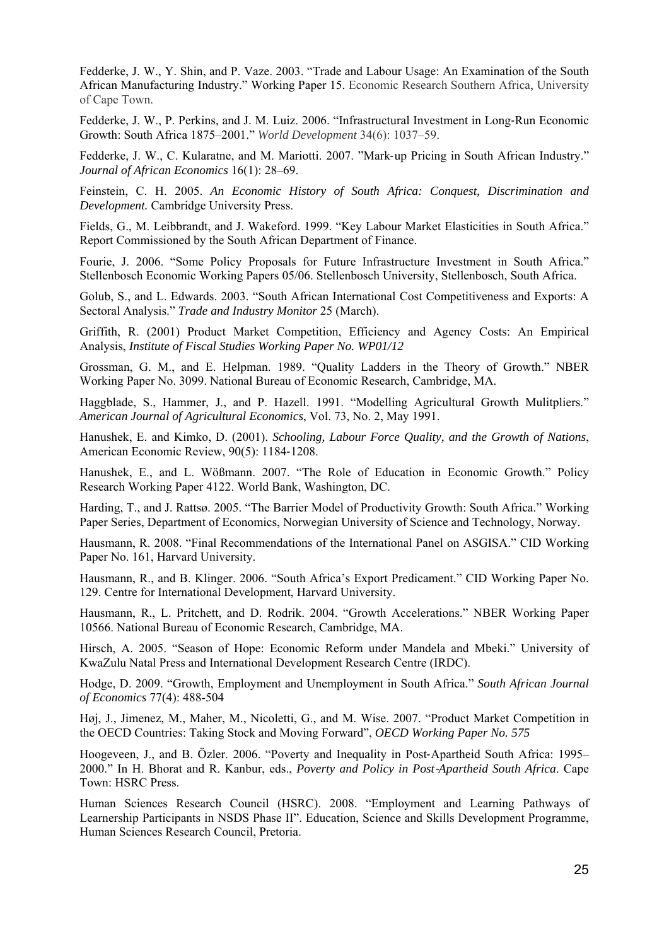Fedderke, J. W., Y. Shin, and P. Vaze. 2003. "Trade and Labour Usage: An Examination of the South African Manufacturing Industry." Working Paper 15. Economic Research Southern Africa, University of Cape Town.

Fedderke, J. W., P. Perkins, and J. M. Luiz. 2006. "Infrastructural Investment in Long-Run Economic Growth: South Africa 1875–2001." *World Development* 34(6): 1037–59.

Fedderke, J. W., C. Kularatne, and M. Mariotti. 2007. "Mark‐up Pricing in South African Industry." *Journal of African Economics* 16(1): 28–69.

Feinstein, C. H. 2005. *An Economic History of South Africa: Conquest, Discrimination and Development.* Cambridge University Press.

Fields, G., M. Leibbrandt, and J. Wakeford. 1999. "Key Labour Market Elasticities in South Africa." Report Commissioned by the South African Department of Finance.

Fourie, J. 2006. "Some Policy Proposals for Future Infrastructure Investment in South Africa." Stellenbosch Economic Working Papers 05/06. Stellenbosch University, Stellenbosch, South Africa.

Golub, S., and L. Edwards. 2003. "South African International Cost Competitiveness and Exports: A Sectoral Analysis." *Trade and Industry Monitor* 25 (March).

Griffith, R. (2001) Product Market Competition, Efficiency and Agency Costs: An Empirical Analysis, *Institute of Fiscal Studies Working Paper No. WP01/12* 

Grossman, G. M., and E. Helpman. 1989. "Quality Ladders in the Theory of Growth." NBER Working Paper No. 3099. National Bureau of Economic Research, Cambridge, MA.

Haggblade, S., Hammer, J., and P. Hazell. 1991. "Modelling Agricultural Growth Mulitpliers." *American Journal of Agricultural Economics*, Vol. 73, No. 2, May 1991.

Hanushek, E. and Kimko, D. (2001). *Schooling, Labour Force Quality, and the Growth of Nations*, American Economic Review, 90(5): 1184‐1208.

Hanushek, E., and L. Wößmann. 2007. "The Role of Education in Economic Growth." Policy Research Working Paper 4122. World Bank, Washington, DC.

Harding, T., and J. Rattsø. 2005. "The Barrier Model of Productivity Growth: South Africa." Working Paper Series, Department of Economics, Norwegian University of Science and Technology, Norway.

Hausmann, R. 2008. "Final Recommendations of the International Panel on ASGISA." CID Working Paper No. 161, Harvard University.

Hausmann, R., and B. Klinger. 2006. "South Africa's Export Predicament." CID Working Paper No. 129. Centre for International Development, Harvard University.

Hausmann, R., L. Pritchett, and D. Rodrik. 2004. "Growth Accelerations." NBER Working Paper 10566. National Bureau of Economic Research, Cambridge, MA.

Hirsch, A. 2005. "Season of Hope: Economic Reform under Mandela and Mbeki." University of KwaZulu Natal Press and International Development Research Centre (IRDC).

Hodge, D. 2009. "Growth, Employment and Unemployment in South Africa." *South African Journal of Economics* 77(4): 488-504

Høj, J., Jimenez, M., Maher, M., Nicoletti, G., and M. Wise. 2007. "Product Market Competition in the OECD Countries: Taking Stock and Moving Forward", *OECD Working Paper No. 575*

Hoogeveen, J., and B. Özler. 2006. "Poverty and Inequality in Post-Apartheid South Africa: 1995– 2000." In H. Bhorat and R. Kanbur, eds., *Poverty and Policy in Post*‐*Apartheid South Africa*. Cape Town: HSRC Press.

Human Sciences Research Council (HSRC). 2008. "Employment and Learning Pathways of Learnership Participants in NSDS Phase II". Education, Science and Skills Development Programme, Human Sciences Research Council, Pretoria.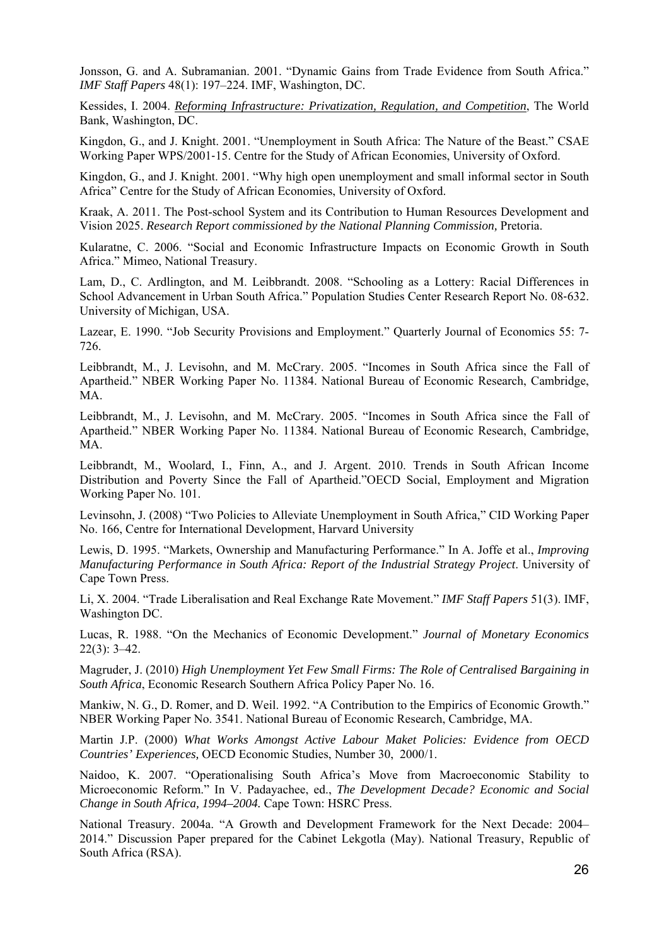Jonsson, G. and A. Subramanian. 2001. "Dynamic Gains from Trade Evidence from South Africa." *IMF Staff Papers* 48(1): 197–224. IMF, Washington, DC.

Kessides, I. 2004. *Reforming Infrastructure: Privatization, Regulation, and Competition*, The World Bank, Washington, DC.

Kingdon, G., and J. Knight. 2001. "Unemployment in South Africa: The Nature of the Beast." CSAE Working Paper WPS/2001‐15. Centre for the Study of African Economies, University of Oxford.

Kingdon, G., and J. Knight. 2001. "Why high open unemployment and small informal sector in South Africa" Centre for the Study of African Economies, University of Oxford.

Kraak, A. 2011. The Post-school System and its Contribution to Human Resources Development and Vision 2025. *Research Report commissioned by the National Planning Commission,* Pretoria.

Kularatne, C. 2006. "Social and Economic Infrastructure Impacts on Economic Growth in South Africa." Mimeo, National Treasury.

Lam, D., C. Ardlington, and M. Leibbrandt. 2008. "Schooling as a Lottery: Racial Differences in School Advancement in Urban South Africa." Population Studies Center Research Report No. 08‐632. University of Michigan, USA.

Lazear, E. 1990. "Job Security Provisions and Employment." Quarterly Journal of Economics 55: 7- 726.

Leibbrandt, M., J. Levisohn, and M. McCrary. 2005. "Incomes in South Africa since the Fall of Apartheid." NBER Working Paper No. 11384. National Bureau of Economic Research, Cambridge, MA.

Leibbrandt, M., J. Levisohn, and M. McCrary. 2005. "Incomes in South Africa since the Fall of Apartheid." NBER Working Paper No. 11384. National Bureau of Economic Research, Cambridge, MA.

Leibbrandt, M., Woolard, I., Finn, A., and J. Argent. 2010. Trends in South African Income Distribution and Poverty Since the Fall of Apartheid."OECD Social, Employment and Migration Working Paper No. 101.

Levinsohn, J. (2008) "Two Policies to Alleviate Unemployment in South Africa," CID Working Paper No. 166, Centre for International Development, Harvard University

Lewis, D. 1995. "Markets, Ownership and Manufacturing Performance." In A. Joffe et al., *Improving Manufacturing Performance in South Africa: Report of the Industrial Strategy Project*. University of Cape Town Press.

Li, X. 2004. "Trade Liberalisation and Real Exchange Rate Movement." *IMF Staff Papers* 51(3). IMF, Washington DC.

Lucas, R. 1988. "On the Mechanics of Economic Development." *Journal of Monetary Economics*  22(3): 3–42.

Magruder, J. (2010) *High Unemployment Yet Few Small Firms: The Role of Centralised Bargaining in South Africa*, Economic Research Southern Africa Policy Paper No. 16.

Mankiw, N. G., D. Romer, and D. Weil. 1992. "A Contribution to the Empirics of Economic Growth." NBER Working Paper No. 3541. National Bureau of Economic Research, Cambridge, MA.

Martin J.P. (2000) *What Works Amongst Active Labour Maket Policies: Evidence from OECD Countries' Experiences,* OECD Economic Studies, Number 30, 2000/1.

Naidoo, K. 2007. "Operationalising South Africa's Move from Macroeconomic Stability to Microeconomic Reform." In V. Padayachee, ed., *The Development Decade? Economic and Social Change in South Africa, 1994–2004.* Cape Town: HSRC Press.

National Treasury. 2004a. "A Growth and Development Framework for the Next Decade: 2004– 2014." Discussion Paper prepared for the Cabinet Lekgotla (May). National Treasury, Republic of South Africa (RSA).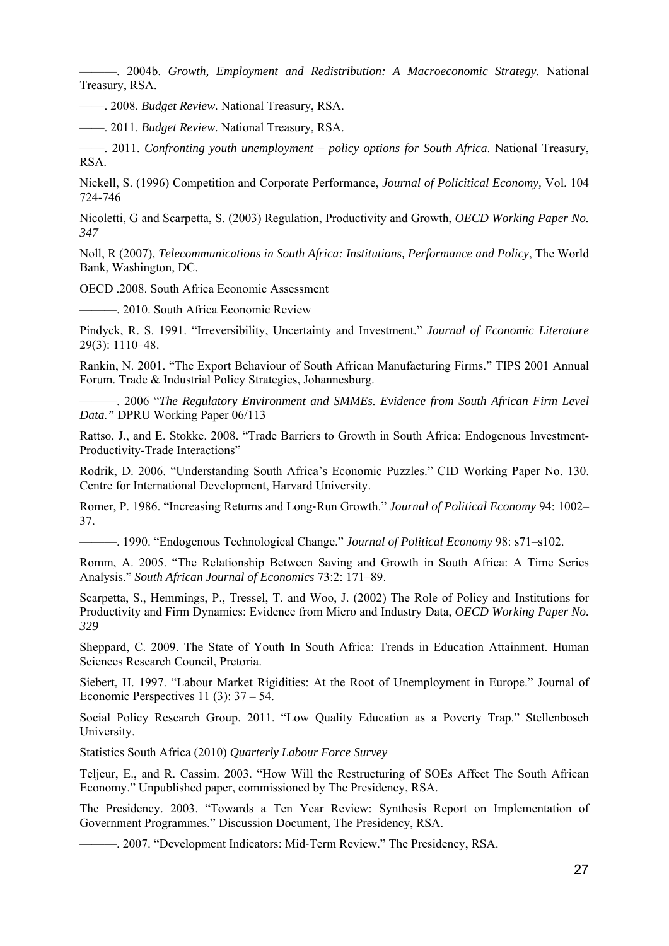———. 2004b. *Growth, Employment and Redistribution: A Macroeconomic Strategy.* National Treasury, RSA.

—––. 2008. *Budget Review.* National Treasury, RSA.

—––. 2011. *Budget Review.* National Treasury, RSA.

—––. 2011. *Confronting youth unemployment – policy options for South Africa*. National Treasury, RSA.

Nickell, S. (1996) Competition and Corporate Performance, *Journal of Policitical Economy,* Vol. 104 724-746

Nicoletti, G and Scarpetta, S. (2003) Regulation, Productivity and Growth, *OECD Working Paper No. 347* 

Noll, R (2007), *Telecommunications in South Africa: Institutions, Performance and Policy*, The World Bank, Washington, DC.

OECD .2008. South Africa Economic Assessment

———. 2010. South Africa Economic Review

Pindyck, R. S. 1991. "Irreversibility, Uncertainty and Investment." *Journal of Economic Literature*  29(3): 1110–48.

Rankin, N. 2001. "The Export Behaviour of South African Manufacturing Firms." TIPS 2001 Annual Forum. Trade & Industrial Policy Strategies, Johannesburg.

———. 2006 "*The Regulatory Environment and SMMEs. Evidence from South African Firm Level Data."* DPRU Working Paper 06/113

Rattso, J., and E. Stokke. 2008. "Trade Barriers to Growth in South Africa: Endogenous Investment-Productivity-Trade Interactions"

Rodrik, D. 2006. "Understanding South Africa's Economic Puzzles." CID Working Paper No. 130. Centre for International Development, Harvard University.

Romer, P. 1986. "Increasing Returns and Long‐Run Growth." *Journal of Political Economy* 94: 1002– 37.

———. 1990. "Endogenous Technological Change." *Journal of Political Economy* 98: s71–s102.

Romm, A. 2005. "The Relationship Between Saving and Growth in South Africa: A Time Series Analysis." *South African Journal of Economics* 73:2: 171–89.

Scarpetta, S., Hemmings, P., Tressel, T. and Woo, J. (2002) The Role of Policy and Institutions for Productivity and Firm Dynamics: Evidence from Micro and Industry Data, *OECD Working Paper No. 329* 

Sheppard, C. 2009. The State of Youth In South Africa: Trends in Education Attainment. Human Sciences Research Council, Pretoria.

Siebert, H. 1997. "Labour Market Rigidities: At the Root of Unemployment in Europe." Journal of Economic Perspectives 11 $(3)$ : 37 – 54.

Social Policy Research Group. 2011. "Low Quality Education as a Poverty Trap." Stellenbosch University.

Statistics South Africa (2010) *Quarterly Labour Force Survey* 

Teljeur, E., and R. Cassim. 2003. "How Will the Restructuring of SOEs Affect The South African Economy." Unpublished paper, commissioned by The Presidency, RSA.

The Presidency. 2003. "Towards a Ten Year Review: Synthesis Report on Implementation of Government Programmes." Discussion Document, The Presidency, RSA.

———. 2007. "Development Indicators: Mid‐Term Review." The Presidency, RSA.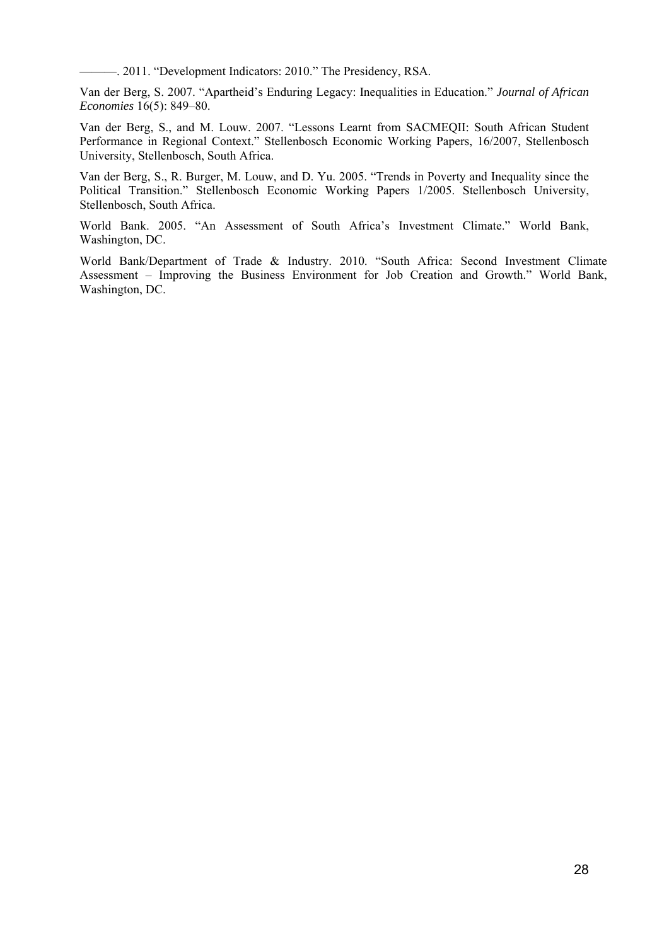———. 2011. "Development Indicators: 2010." The Presidency, RSA.

Van der Berg, S. 2007. "Apartheid's Enduring Legacy: Inequalities in Education." *Journal of African Economies* 16(5): 849–80.

Van der Berg, S., and M. Louw. 2007. "Lessons Learnt from SACMEQII: South African Student Performance in Regional Context." Stellenbosch Economic Working Papers, 16/2007, Stellenbosch University, Stellenbosch, South Africa.

Van der Berg, S., R. Burger, M. Louw, and D. Yu. 2005. "Trends in Poverty and Inequality since the Political Transition." Stellenbosch Economic Working Papers 1/2005. Stellenbosch University, Stellenbosch, South Africa.

World Bank. 2005. "An Assessment of South Africa's Investment Climate." World Bank, Washington, DC.

World Bank/Department of Trade & Industry. 2010. "South Africa: Second Investment Climate Assessment – Improving the Business Environment for Job Creation and Growth." World Bank, Washington, DC.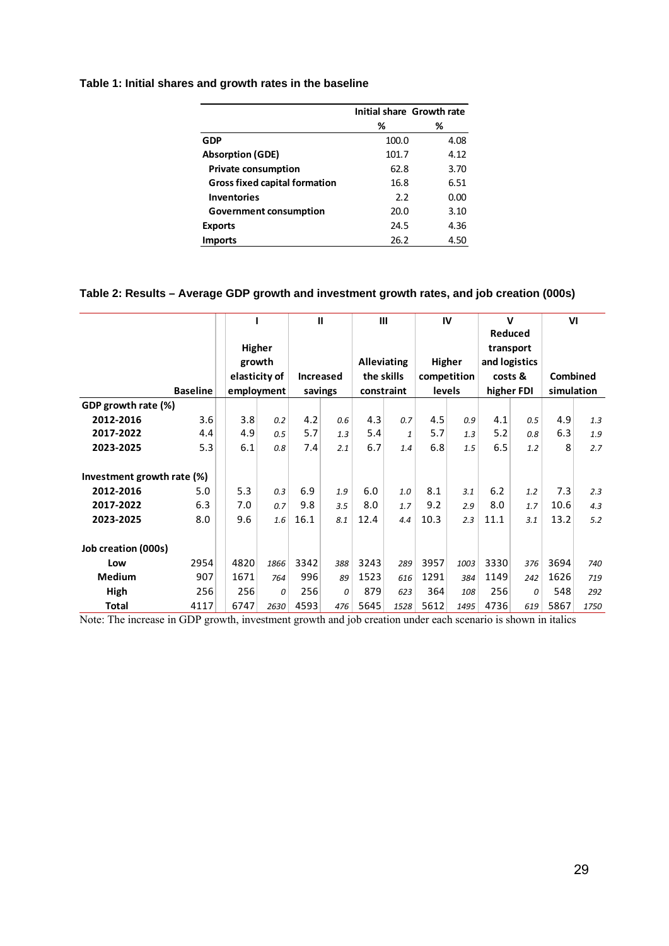## **Table 1: Initial shares and growth rates in the baseline**

|                                      |       | Initial share Growth rate |
|--------------------------------------|-------|---------------------------|
|                                      | %     | %                         |
| GDP                                  | 100.0 | 4.08                      |
| <b>Absorption (GDE)</b>              | 101.7 | 4.12                      |
| <b>Private consumption</b>           | 62.8  | 3.70                      |
| <b>Gross fixed capital formation</b> | 16.8  | 6.51                      |
| <b>Inventories</b>                   | 2.2   | 0.00                      |
| <b>Government consumption</b>        | 20.0  | 3.10                      |
| <b>Exports</b>                       | 24.5  | 4.36                      |
| <b>Imports</b>                       | 26.2  | 4.50                      |

## **Table 2: Results – Average GDP growth and investment growth rates, and job creation (000s)**

|                            |                 |               |      | $\mathbf{I}$     |     | $\mathbf{III}$     |      | IV            |           | $\mathbf v$   |     | VI         |      |
|----------------------------|-----------------|---------------|------|------------------|-----|--------------------|------|---------------|-----------|---------------|-----|------------|------|
|                            |                 |               |      |                  |     |                    |      |               |           | Reduced       |     |            |      |
|                            |                 | Higher        |      |                  |     |                    |      |               | transport |               |     |            |      |
|                            |                 | growth        |      |                  |     | <b>Alleviating</b> |      | Higher        |           | and logistics |     |            |      |
|                            |                 | elasticity of |      | <b>Increased</b> |     | the skills         |      | competition   |           | costs &       |     | Combined   |      |
|                            | <b>Baseline</b> | employment    |      | savings          |     | constraint         |      | <b>levels</b> |           | higher FDI    |     | simulation |      |
| GDP growth rate (%)        |                 |               |      |                  |     |                    |      |               |           |               |     |            |      |
| 2012-2016                  | 3.6             | 3.8           | 0.2  | 4.2              | 0.6 | 4.3                | 0.7  | 4.5           | 0.9       | 4.1           | 0.5 | 4.9        | 1.3  |
| 2017-2022                  | 4.4             | 4.9           | 0.5  | 5.7              | 1.3 | 5.4                | 1    | 5.7           | 1.3       | 5.2           | 0.8 | 6.3        | 1.9  |
| 2023-2025                  | 5.3             | 6.1           | 0.8  | 7.4              | 2.1 | 6.7                | 1.4  | 6.8           | 1.5       | 6.5           | 1.2 | 8          | 2.7  |
|                            |                 |               |      |                  |     |                    |      |               |           |               |     |            |      |
| Investment growth rate (%) |                 |               |      |                  |     |                    |      |               |           |               |     |            |      |
| 2012-2016                  | 5.0             | 5.3           | 0.3  | 6.9              | 1.9 | 6.0                | 1.0  | 8.1           | 3.1       | 6.2           | 1.2 | 7.3        | 2.3  |
| 2017-2022                  | 6.3             | 7.0           | 0.7  | 9.8              | 3.5 | 8.0                | 1.7  | 9.2           | 2.9       | 8.0           | 1.7 | 10.6       | 4.3  |
| 2023-2025                  | 8.0             | 9.6           | 1.6  | 16.1             | 8.1 | 12.4               | 4.4  | 10.3          | 2.3       | 11.1          | 3.1 | 13.2       | 5.2  |
|                            |                 |               |      |                  |     |                    |      |               |           |               |     |            |      |
| Job creation (000s)        |                 |               |      |                  |     |                    |      |               |           |               |     |            |      |
| Low                        | 2954            | 4820          | 1866 | 3342             | 388 | 3243               | 289  | 3957          | 1003      | 3330          | 376 | 3694       | 740  |
| Medium                     | 907             | 1671          | 764  | 996              | 89  | 1523               | 616  | 1291          | 384       | 1149          | 242 | 1626       | 719  |
| High                       | 256             | 256           | 0    | 256              | 0   | 879                | 623  | 364           | 108       | 256           | 0   | 548        | 292  |
| <b>Total</b>               | 4117            | 6747          | 2630 | 4593             | 476 | 5645               | 1528 | 5612          | 1495      | 4736          | 619 | 5867       | 1750 |

Note: The increase in GDP growth, investment growth and job creation under each scenario is shown in italics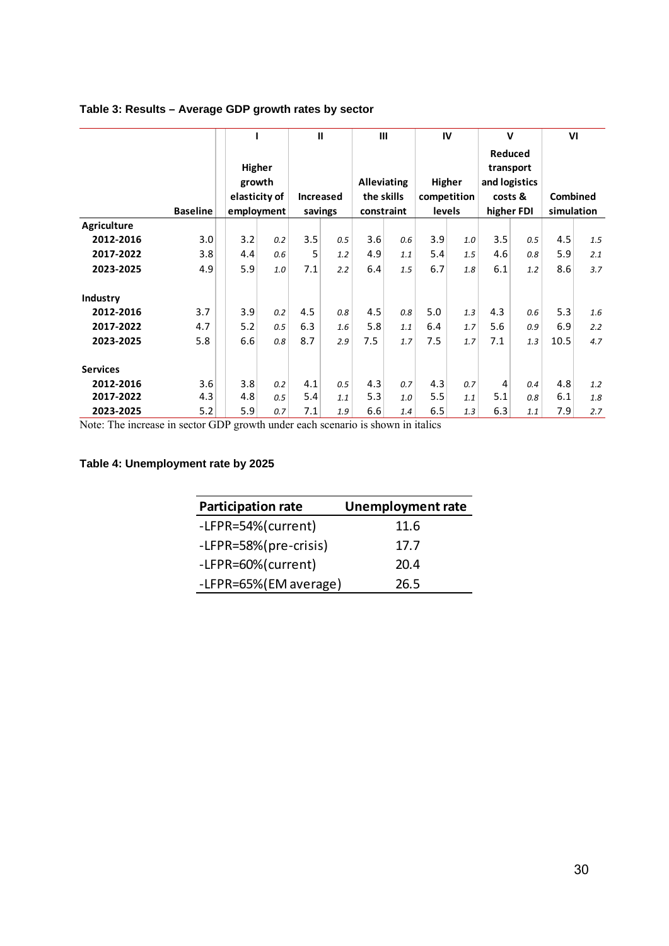### **Table 3: Results – Average GDP growth rates by sector**

|                 |                 |                                                 |     | $\mathbf{I}$                |     | $\mathbf{III}$                                 |     | IV                                     |     | $\mathbf v$                                                    |     | VI                     |     |
|-----------------|-----------------|-------------------------------------------------|-----|-----------------------------|-----|------------------------------------------------|-----|----------------------------------------|-----|----------------------------------------------------------------|-----|------------------------|-----|
|                 | <b>Baseline</b> | Higher<br>growth<br>elasticity of<br>employment |     | <b>Increased</b><br>savings |     | <b>Alleviating</b><br>the skills<br>constraint |     | Higher<br>competition<br><b>levels</b> |     | Reduced<br>transport<br>and logistics<br>costs &<br>higher FDI |     | Combined<br>simulation |     |
| Agriculture     |                 |                                                 |     |                             |     |                                                |     |                                        |     |                                                                |     |                        |     |
| 2012-2016       | 3.0             | 3.2                                             | 0.2 | 3.5                         | 0.5 | 3.6                                            | 0.6 | 3.9                                    | 1.0 | 3.5                                                            | 0.5 | 4.5                    | 1.5 |
| 2017-2022       | 3.8             | 4.4                                             | 0.6 | 5                           | 1.2 | 4.9                                            | 1.1 | 5.4                                    | 1.5 | 4.6                                                            | 0.8 | 5.9                    | 2.1 |
| 2023-2025       | 4.9             | 5.9                                             | 1.0 | 7.1                         | 2.2 | 6.4                                            | 1.5 | 6.7                                    | 1.8 | 6.1                                                            | 1.2 | 8.6                    | 3.7 |
| Industry        |                 |                                                 |     |                             |     |                                                |     |                                        |     |                                                                |     |                        |     |
| 2012-2016       | 3.7             | 3.9                                             | 0.2 | 4.5                         | 0.8 | 4.5                                            | 0.8 | 5.0                                    | 1.3 | 4.3                                                            | 0.6 | 5.3                    | 1.6 |
| 2017-2022       | 4.7             | 5.2                                             | 0.5 | 6.3                         | 1.6 | 5.8                                            | 1.1 | 6.4                                    | 1.7 | 5.6                                                            | 0.9 | 6.9                    | 2.2 |
| 2023-2025       | 5.8             | 6.6                                             | 0.8 | 8.7                         | 2.9 | 7.5                                            | 1.7 | 7.5                                    | 1.7 | 7.1                                                            | 1.3 | 10.5                   | 4.7 |
| <b>Services</b> |                 |                                                 |     |                             |     |                                                |     |                                        |     |                                                                |     |                        |     |
| 2012-2016       | 3.6             | 3.8                                             | 0.2 | 4.1                         | 0.5 | 4.3                                            | 0.7 | 4.3                                    | 0.7 | 4                                                              | 0.4 | 4.8                    | 1.2 |
| 2017-2022       | 4.3             | 4.8                                             | 0.5 | 5.4                         | 1.1 | 5.3                                            | 1.0 | 5.5                                    | 1.1 | 5.1                                                            | 0.8 | 6.1                    | 1.8 |
| 2023-2025       | 5.2             | 5.9                                             | 0.7 | 7.1                         | 1.9 | 6.6                                            | 1.4 | 6.5                                    | 1.3 | 6.3                                                            | 1.1 | 7.9                    | 2.7 |

Note: The increase in sector GDP growth under each scenario is shown in italics

## **Table 4: Unemployment rate by 2025**

| <b>Participation rate</b> | <b>Unemployment rate</b> |
|---------------------------|--------------------------|
| -LFPR=54%(current)        | 11.6                     |
| -LFPR=58%(pre-crisis)     | 17.7                     |
| -LFPR=60%(current)        | 20.4                     |
| -LFPR=65%(EM average)     | 26.5                     |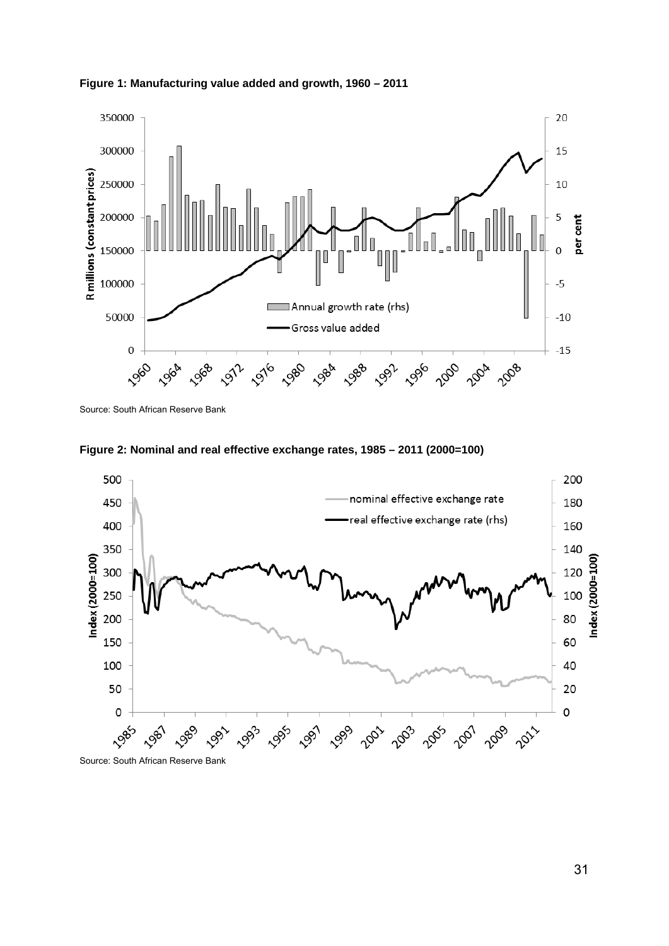



Source: South African Reserve Bank



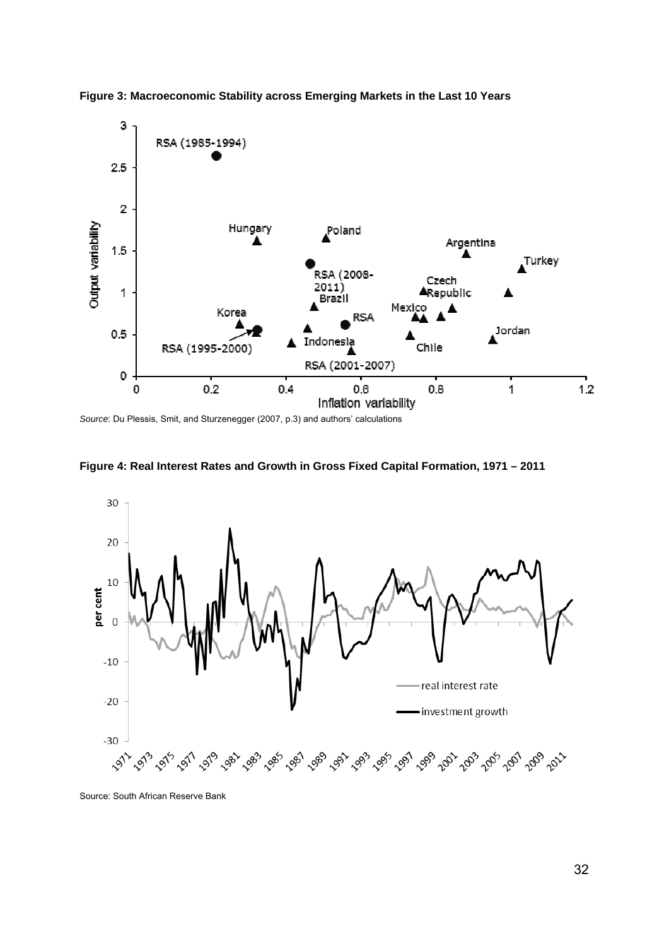

**Figure 3: Macroeconomic Stability across Emerging Markets in the Last 10 Years** 

*Source*: Du Plessis, Smit, and Sturzenegger (2007, p.3) and authors' calculations





Source: South African Reserve Bank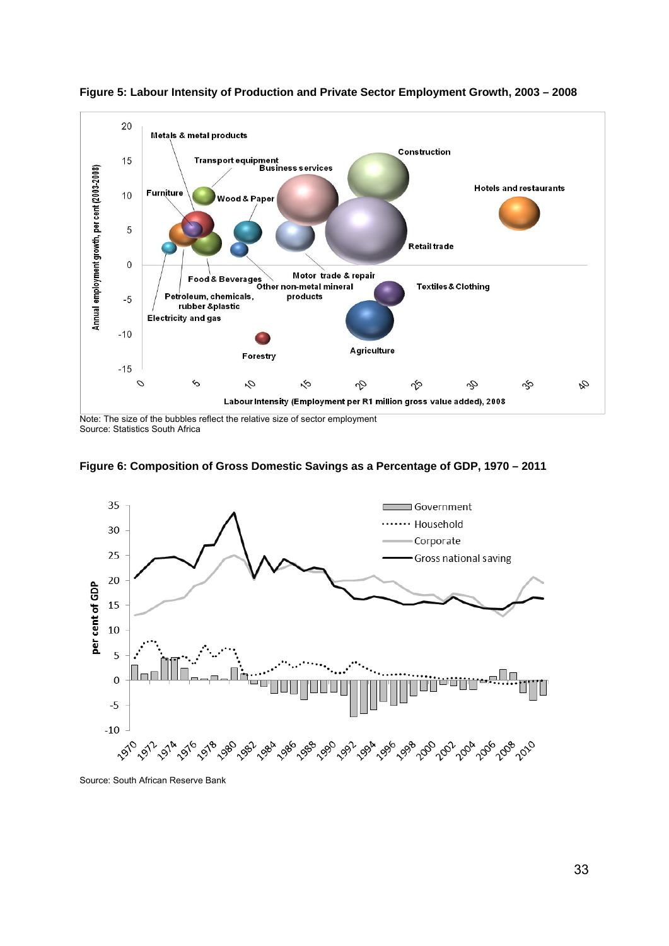

**Figure 5: Labour Intensity of Production and Private Sector Employment Growth, 2003 – 2008** 

Note: The size of the bubbles reflect the relative size of sector employment Source: Statistics South Africa





Source: South African Reserve Bank